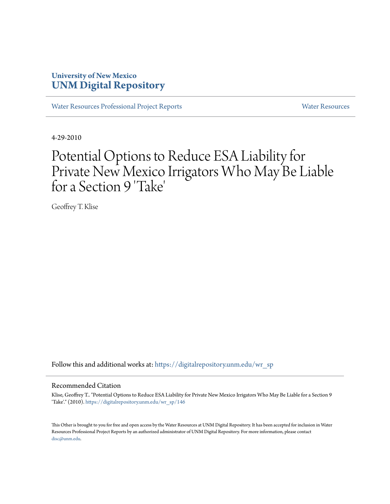# **University of New Mexico [UNM Digital Repository](https://digitalrepository.unm.edu?utm_source=digitalrepository.unm.edu%2Fwr_sp%2F146&utm_medium=PDF&utm_campaign=PDFCoverPages)**

[Water Resources Professional Project Reports](https://digitalrepository.unm.edu/wr_sp?utm_source=digitalrepository.unm.edu%2Fwr_sp%2F146&utm_medium=PDF&utm_campaign=PDFCoverPages) **[Water Resources](https://digitalrepository.unm.edu/wr?utm_source=digitalrepository.unm.edu%2Fwr_sp%2F146&utm_medium=PDF&utm_campaign=PDFCoverPages)** Water Resources

4-29-2010

# Potential Options to Reduce ESA Liability for Private New Mexico Irrigators Who May Be Liable for a Section 9 'Take '

Geoffrey T. Klise

Follow this and additional works at: [https://digitalrepository.unm.edu/wr\\_sp](https://digitalrepository.unm.edu/wr_sp?utm_source=digitalrepository.unm.edu%2Fwr_sp%2F146&utm_medium=PDF&utm_campaign=PDFCoverPages)

#### Recommended Citation

Klise, Geoffrey T.. "Potential Options to Reduce ESA Liability for Private New Mexico Irrigators Who May Be Liable for a Section 9 'Take'." (2010). [https://digitalrepository.unm.edu/wr\\_sp/146](https://digitalrepository.unm.edu/wr_sp/146?utm_source=digitalrepository.unm.edu%2Fwr_sp%2F146&utm_medium=PDF&utm_campaign=PDFCoverPages)

This Other is brought to you for free and open access by the Water Resources at UNM Digital Repository. It has been accepted for inclusion in Water Resources Professional Project Reports by an authorized administrator of UNM Digital Repository. For more information, please contact [disc@unm.edu](mailto:disc@unm.edu).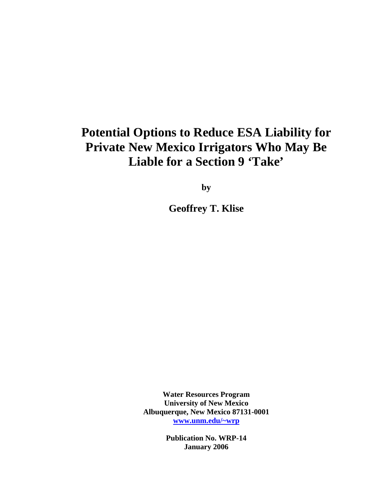# **Potential Options to Reduce ESA Liability for Private New Mexico Irrigators Who May Be Liable for a Section 9 'Take'**

**by** 

**Geoffrey T. Klise** 

**Water Resources Program University of New Mexico Albuquerque, New Mexico 87131-0001 [www.unm.edu/~wrp](http://www.unm.edu/~wrp)**

> **Publication No. WRP-14 January 2006**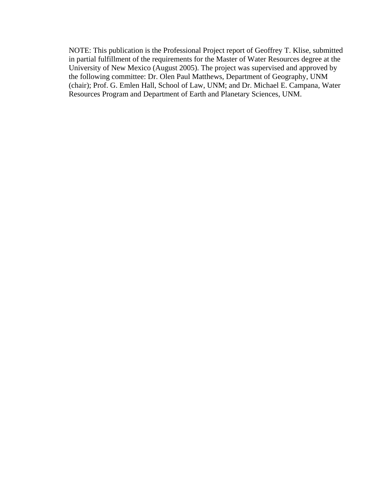NOTE: This publication is the Professional Project report of Geoffrey T. Klise, submitted in partial fulfillment of the requirements for the Master of Water Resources degree at the University of New Mexico (August 2005). The project was supervised and approved by the following committee: Dr. Olen Paul Matthews, Department of Geography, UNM (chair); Prof. G. Emlen Hall, School of Law, UNM; and Dr. Michael E. Campana, Water Resources Program and Department of Earth and Planetary Sciences, UNM.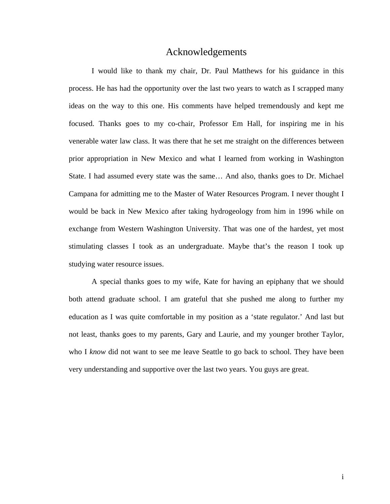# Acknowledgements

I would like to thank my chair, Dr. Paul Matthews for his guidance in this process. He has had the opportunity over the last two years to watch as I scrapped many ideas on the way to this one. His comments have helped tremendously and kept me focused. Thanks goes to my co-chair, Professor Em Hall, for inspiring me in his venerable water law class. It was there that he set me straight on the differences between prior appropriation in New Mexico and what I learned from working in Washington State. I had assumed every state was the same… And also, thanks goes to Dr. Michael Campana for admitting me to the Master of Water Resources Program. I never thought I would be back in New Mexico after taking hydrogeology from him in 1996 while on exchange from Western Washington University. That was one of the hardest, yet most stimulating classes I took as an undergraduate. Maybe that's the reason I took up studying water resource issues.

A special thanks goes to my wife, Kate for having an epiphany that we should both attend graduate school. I am grateful that she pushed me along to further my education as I was quite comfortable in my position as a 'state regulator.' And last but not least, thanks goes to my parents, Gary and Laurie, and my younger brother Taylor, who I *know* did not want to see me leave Seattle to go back to school. They have been very understanding and supportive over the last two years. You guys are great.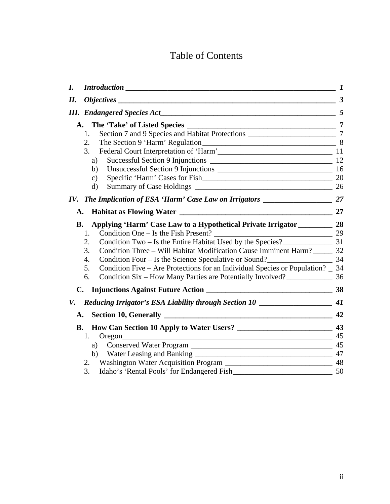# Table of Contents

| I.        |                                                                                      |                      |
|-----------|--------------------------------------------------------------------------------------|----------------------|
| II.       |                                                                                      | $\boldsymbol{\beta}$ |
|           |                                                                                      |                      |
|           |                                                                                      |                      |
|           | 1.                                                                                   |                      |
|           | 2.                                                                                   |                      |
|           | Federal Court Interpretation of 'Harm' 11 [11]<br>3.                                 |                      |
|           | a)                                                                                   |                      |
|           | b)                                                                                   |                      |
|           | $\mathbf{c})$                                                                        |                      |
|           | $\rm d)$                                                                             |                      |
| IV.       |                                                                                      |                      |
| A.        |                                                                                      | 27                   |
| <b>B.</b> |                                                                                      |                      |
|           | 1.                                                                                   |                      |
|           | Condition Two – Is the Entire Habitat Used by the Species?<br>231<br>2.              |                      |
|           | Condition Three - Will Habitat Modification Cause Imminent Harm? _______ 32<br>3.    |                      |
|           | Condition Four – Is the Science Speculative or Sound?<br>4.                          |                      |
|           | Condition Five – Are Protections for an Individual Species or Population? _ 34<br>5. |                      |
|           | 6.                                                                                   |                      |
| C.        |                                                                                      |                      |
| V.        | Reducing Irrigator's ESA Liability through Section 10 __________________________ 41  |                      |
| A.        | Section 10, Generally 22                                                             |                      |
| <b>B.</b> |                                                                                      |                      |
|           | $\sim$ 45<br>1.<br>Oregon                                                            |                      |
|           | a)                                                                                   |                      |
|           |                                                                                      |                      |
|           | 2.                                                                                   |                      |
|           | 3.<br>Idaho's 'Rental Pools' for Endangered Fish<br>$\sim$ 50                        |                      |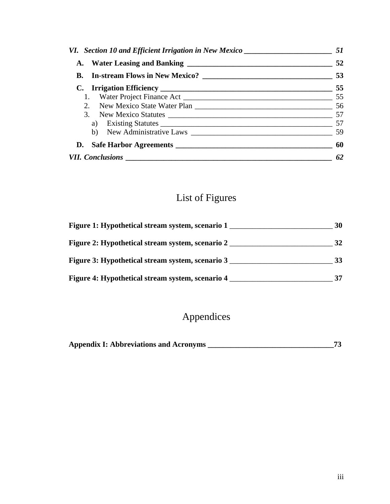| VI. Section 10 and Efficient Irrigation in New Mexico __________________________ | 51  |
|----------------------------------------------------------------------------------|-----|
|                                                                                  |     |
|                                                                                  |     |
|                                                                                  |     |
|                                                                                  |     |
|                                                                                  |     |
|                                                                                  |     |
|                                                                                  |     |
|                                                                                  |     |
|                                                                                  | -60 |
|                                                                                  | -62 |

# List of Figures

| Figure 1: Hypothetical stream system, scenario 1 | 30 |
|--------------------------------------------------|----|
| Figure 2: Hypothetical stream system, scenario 2 | 32 |
| Figure 3: Hypothetical stream system, scenario 3 |    |
| Figure 4: Hypothetical stream system, scenario 4 |    |

# Appendices

| <b>Appendix I: Abbreviations and Acronyms</b> |  |
|-----------------------------------------------|--|
|-----------------------------------------------|--|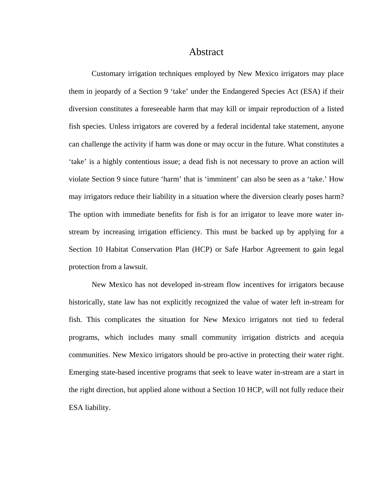### Abstract

Customary irrigation techniques employed by New Mexico irrigators may place them in jeopardy of a Section 9 'take' under the Endangered Species Act (ESA) if their diversion constitutes a foreseeable harm that may kill or impair reproduction of a listed fish species. Unless irrigators are covered by a federal incidental take statement, anyone can challenge the activity if harm was done or may occur in the future. What constitutes a 'take' is a highly contentious issue; a dead fish is not necessary to prove an action will violate Section 9 since future 'harm' that is 'imminent' can also be seen as a 'take.' How may irrigators reduce their liability in a situation where the diversion clearly poses harm? The option with immediate benefits for fish is for an irrigator to leave more water instream by increasing irrigation efficiency. This must be backed up by applying for a Section 10 Habitat Conservation Plan (HCP) or Safe Harbor Agreement to gain legal protection from a lawsuit.

New Mexico has not developed in-stream flow incentives for irrigators because historically, state law has not explicitly recognized the value of water left in-stream for fish. This complicates the situation for New Mexico irrigators not tied to federal programs, which includes many small community irrigation districts and acequia communities. New Mexico irrigators should be pro-active in protecting their water right. Emerging state-based incentive programs that seek to leave water in-stream are a start in the right direction, but applied alone without a Section 10 HCP, will not fully reduce their ESA liability.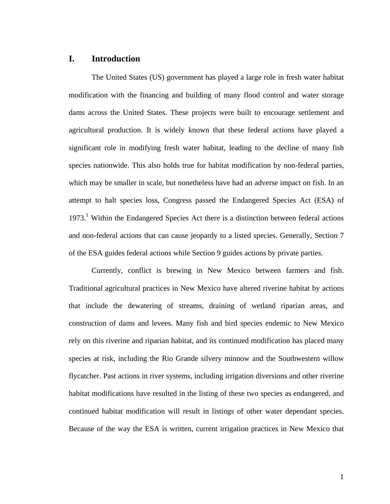# <span id="page-7-0"></span>**I. Introduction**

The United States (US) government has played a large role in fresh water habitat modification with the financing and building of many flood control and water storage dams across the United States. These projects were built to encourage settlement and agricultural production. It is widely known that these federal actions have played a significant role in modifying fresh water habitat, leading to the decline of many fish species nationwide. This also holds true for habitat modification by non-federal parties, which may be smaller in scale, but nonetheless have had an adverse impact on fish. In an attempt to halt species loss, Congress passed the Endangered Species Act (ESA) of [1](#page-7-1)973.<sup>1</sup> Within the Endangered Species Act there is a distinction between federal actions and non-federal actions that can cause jeopardy to a listed species. Generally, Section 7 of the ESA guides federal actions while Section 9 guides actions by private parties.

<span id="page-7-1"></span>Currently, conflict is brewing in New Mexico between farmers and fish. Traditional agricultural practices in New Mexico have altered riverine habitat by actions that include the dewatering of streams, draining of wetland riparian areas, and construction of dams and levees. Many fish and bird species endemic to New Mexico rely on this riverine and riparian habitat, and its continued modification has placed many species at risk, including the Rio Grande silvery minnow and the Southwestern willow flycatcher. Past actions in river systems, including irrigation diversions and other riverine habitat modifications have resulted in the listing of these two species as endangered, and continued habitat modification will result in listings of other water dependant species. Because of the way the ESA is written, current irrigation practices in New Mexico that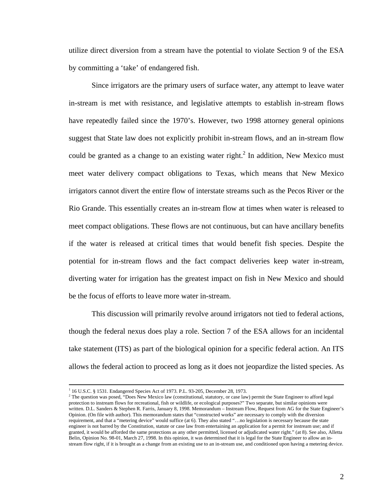utilize direct diversion from a stream have the potential to violate Section 9 of the ESA by committing a 'take' of endangered fish.

Since irrigators are the primary users of surface water, any attempt to leave water in-stream is met with resistance, and legislative attempts to establish in-stream flows have repeatedly failed since the 1970's. However, two 1998 attorney general opinions suggest that State law does not explicitly prohibit in-stream flows, and an in-stream flow could be granted as a change to an existing water right.<sup>[2](#page-8-0)</sup> In addition, New Mexico must meet water delivery compact obligations to Texas, which means that New Mexico irrigators cannot divert the entire flow of interstate streams such as the Pecos River or the Rio Grande. This essentially creates an in-stream flow at times when water is released to meet compact obligations. These flows are not continuous, but can have ancillary benefits if the water is released at critical times that would benefit fish species. Despite the potential for in-stream flows and the fact compact deliveries keep water in-stream, diverting water for irrigation has the greatest impact on fish in New Mexico and should be the focus of efforts to leave more water in-stream.

This discussion will primarily revolve around irrigators not tied to federal actions, though the federal nexus does play a role. Section 7 of the ESA allows for an incidental take statement (ITS) as part of the biological opinion for a specific federal action. An ITS allows the federal action to proceed as long as it does not jeopardize the listed species. As

 $\frac{1}{1}$ 16 U.S.C. § 1531. Endangered Species Act of 1973. P.L. 93-205, December 28, 1973.

<span id="page-8-0"></span><sup>&</sup>lt;sup>2</sup> The question was posed, "Does New Mexico law (constitutional, statutory, or case law) permit the State Engineer to afford legal protection to instream flows for recreational, fish or wildlife, or ecological purposes?" Two separate, but similar opinions were written. D.L. Sanders & Stephen R. Farris, January 8, 1998. Memorandum – Instream Flow, Request from AG for the State Engineer's Opinion. (On file with author). This memorandum states that "constructed works" are necessary to comply with the diversion requirement, and that a "metering device" would suffice (at 6). They also stated "…no legislation is necessary because the state engineer is not barred by the Constitution, statute or case law from entertaining an application for a permit for instream use; and if granted, it would be afforded the same protections as any other permitted, licensed or adjudicated water right." (at 8). See also, Alletta Belin, Opinion No. 98-01, March 27, 1998. In this opinion, it was determined that it is legal for the State Engineer to allow an instream flow right, if it is brought as a change from an existing use to an in-stream use, and conditioned upon having a metering device.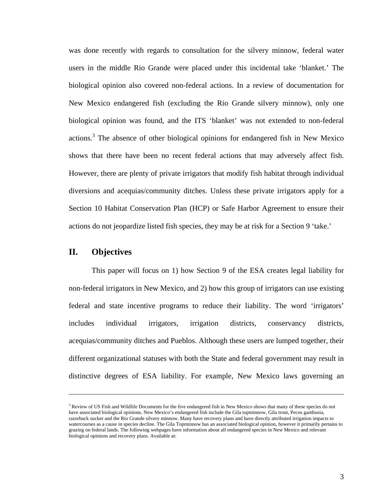<span id="page-9-1"></span><span id="page-9-0"></span>was done recently with regards to consultation for the silvery minnow, federal water users in the middle Rio Grande were placed under this incidental take 'blanket.' The biological opinion also covered non-federal actions. In a review of documentation for New Mexico endangered fish (excluding the Rio Grande silvery minnow), only one biological opinion was found, and the ITS 'blanket' was not extended to non-federal actions.<sup>[3](#page-9-1)</sup> The absence of other biological opinions for endangered fish in New Mexico shows that there have been no recent federal actions that may adversely affect fish. However, there are plenty of private irrigators that modify fish habitat through individual diversions and acequias/community ditches. Unless these private irrigators apply for a Section 10 Habitat Conservation Plan (HCP) or Safe Harbor Agreement to ensure their actions do not jeopardize listed fish species, they may be at risk for a Section 9 'take.'

## **II. Objectives**

 $\overline{a}$ 

This paper will focus on 1) how Section 9 of the ESA creates legal liability for non-federal irrigators in New Mexico, and 2) how this group of irrigators can use existing federal and state incentive programs to reduce their liability. The word 'irrigators' includes individual irrigators, irrigation districts, conservancy districts, acequias/community ditches and Pueblos. Although these users are lumped together, their different organizational statuses with both the State and federal government may result in distinctive degrees of ESA liability. For example, New Mexico laws governing an

<sup>&</sup>lt;sup>3</sup> Review of US Fish and Wildlife Documents for the five endangered fish in New Mexico shows that many of these species do not have associated biological opinions. New Mexico's endangered fish include the Gila topminnow, Gila trout, Pecos gambusia, razorback sucker and the Rio Grande silvery minnow. Many have recovery plans and have directly attributed irrigation impacts to watercourses as a cause in species decline. The Gila Topminnow has an associated biological opinion, however it primarily pertains to grazing on federal lands. The following webpages have information about all endangered species in New Mexico and relevant biological opinions and recovery plans. Available at: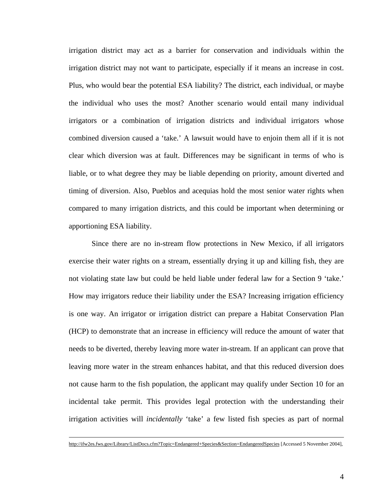irrigation district may act as a barrier for conservation and individuals within the irrigation district may not want to participate, especially if it means an increase in cost. Plus, who would bear the potential ESA liability? The district, each individual, or maybe the individual who uses the most? Another scenario would entail many individual irrigators or a combination of irrigation districts and individual irrigators whose combined diversion caused a 'take.' A lawsuit would have to enjoin them all if it is not clear which diversion was at fault. Differences may be significant in terms of who is liable, or to what degree they may be liable depending on priority, amount diverted and timing of diversion. Also, Pueblos and acequias hold the most senior water rights when compared to many irrigation districts, and this could be important when determining or apportioning ESA liability.

Since there are no in-stream flow protections in New Mexico, if all irrigators exercise their water rights on a stream, essentially drying it up and killing fish, they are not violating state law but could be held liable under federal law for a Section 9 'take.' How may irrigators reduce their liability under the ESA? Increasing irrigation efficiency is one way. An irrigator or irrigation district can prepare a Habitat Conservation Plan (HCP) to demonstrate that an increase in efficiency will reduce the amount of water that needs to be diverted, thereby leaving more water in-stream. If an applicant can prove that leaving more water in the stream enhances habitat, and that this reduced diversion does not cause harm to the fish population, the applicant may qualify under Section 10 for an incidental take permit. This provides legal protection with the understanding their irrigation activities will *incidentally* 'take' a few listed fish species as part of normal

<http://ifw2es.fws.gov/Library/ListDocs.cfm?Topic=Endangered+Species&Section=EndangeredSpecies> [Accessed 5 November 2004],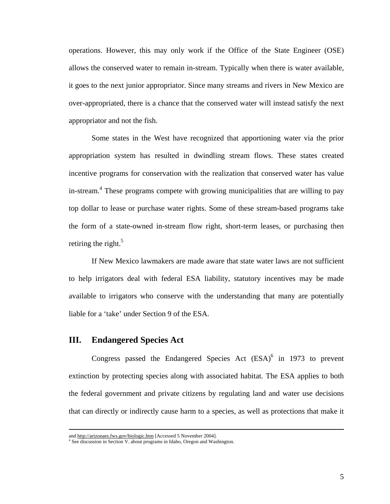<span id="page-11-0"></span>operations. However, this may only work if the Office of the State Engineer (OSE) allows the conserved water to remain in-stream. Typically when there is water available, it goes to the next junior appropriator. Since many streams and rivers in New Mexico are over-appropriated, there is a chance that the conserved water will instead satisfy the next appropriator and not the fish.

Some states in the West have recognized that apportioning water via the prior appropriation system has resulted in dwindling stream flows. These states created incentive programs for conservation with the realization that conserved water has value in-stream.<sup>[4](#page-11-1)</sup> These programs compete with growing municipalities that are willing to pay top dollar to lease or purchase water rights. Some of these stream-based programs take the form of a state-owned in-stream flow right, short-term leases, or purchasing then retiring the right. $5$ 

If New Mexico lawmakers are made aware that state water laws are not sufficient to help irrigators deal with federal ESA liability, statutory incentives may be made available to irrigators who conserve with the understanding that many are potentially liable for a 'take' under Section 9 of the ESA.

#### **III. Endangered Species Act**

Congresspassed the Endangered Species Act  $(ESA)^6$  in 1973 to prevent extinction by protecting species along with associated habitat. The ESA applies to both the federal government and private citizens by regulating land and water use decisions that can directly or indirectly cause harm to a species, as well as protections that make it

<span id="page-11-3"></span><span id="page-11-2"></span>and <http://arizonaes.fws.gov/biologic.htm> [Accessed 5 November 2004].

<span id="page-11-1"></span><sup>&</sup>lt;sup>4</sup> See discussion in Section V. about programs in Idaho, Oregon and Washington.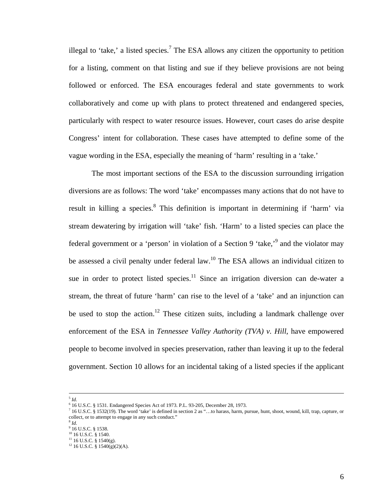illegal to 'take,' a listed species.<sup>[7](#page-12-0)</sup> The ESA allows any citizen the opportunity to petition for a listing, comment on that listing and sue if they believe provisions are not being followed or enforced. The ESA encourages federal and state governments to work collaboratively and come up with plans to protect threatened and endangered species, particularly with respect to water resource issues. However, court cases do arise despite Congress' intent for collaboration. These cases have attempted to define some of the vague wording in the ESA, especially the meaning of 'harm' resulting in a 'take.'

The most important sections of the ESA to the discussion surrounding irrigation diversions are as follows: The word 'take' encompasses many actions that do not have to result in killing a species.<sup>[8](#page-12-1)</sup> This definition is important in determining if 'harm' via stream dewatering by irrigation will 'take' fish. 'Harm' to a listed species can place the federal government or a 'person' in violation of a Section [9](#page-12-2) 'take,<sup>'9</sup> and the violator may be assessed a civil penalty under federal law.<sup>10</sup> The ESA allows an individual citizen to sue in order to protect listed species. $11$  Since an irrigation diversion can de-water a stream, the threat of future 'harm' can rise to the level of a 'take' and an injunction can be used to stop the action.<sup>12</sup> These citizen suits, including a landmark challenge over enforcement of the ESA in *Tennessee Valley Authority (TVA) v. Hill*, have empowered people to become involved in species preservation, rather than leaving it up to the federal government. Section 10 allows for an incidental taking of a listed species if the applicant

 $<sup>5</sup>$  *Id*.</sup>

 <sup>16</sup> U.S.C. § 1531. Endangered Species Act of 1973. P.L. 93-205, December 28, 1973.

<span id="page-12-0"></span> $^7$  16 U.S.C. § 1532(19). The word 'take' is defined in section 2 as "...to harass, harm, pursue, hunt, shoot, wound, kill, trap, capture, or collect, or to attempt to engage in any such conduct."<br> $8 \text{ } Id$ 

<span id="page-12-1"></span>

<span id="page-12-2"></span> $9$  16 U.S.C. § 1538.

<span id="page-12-3"></span><sup>&</sup>lt;sup>10</sup> 16 U.S.C. § 1540.

<span id="page-12-4"></span> $11$  16 U.S.C. § 1540(g).

<span id="page-12-5"></span> $12$  16 U.S.C. § 1540(g)(2)(A).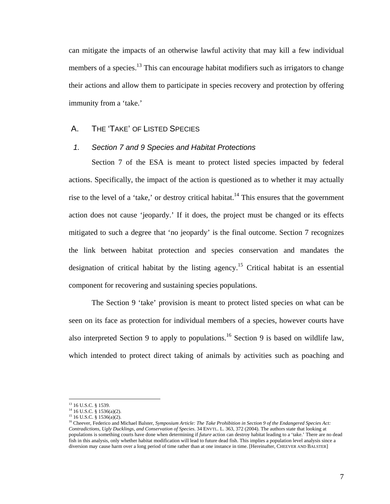<span id="page-13-0"></span>can mitigate the impacts of an otherwise lawful activity that may kill a few individual members of a species.<sup>13</sup> This can encourage habitat modifiers such as irrigators to change their actions and allow them to participate in species recovery and protection by offering immunity from a 'take.'

#### A. THE 'TAKE' OF LISTED SPECIES

### *1. Section 7 and 9 Species and Habitat Protections*

Section 7 of the ESA is meant to protect listed species impacted by federal actions. Specifically, the impact of the action is questioned as to whether it may actually rise to the level of a 'take,' or destroy critical habitat.<sup>14</sup> This ensures that the government action does not cause 'jeopardy.' If it does, the project must be changed or its effects mitigated to such a degree that 'no jeopardy' is the final outcome. Section 7 recognizes the link between habitat protection and species conservation and mandates the designation of critical habitat by the listing agency.<sup>15</sup> Critical habitat is an essential component for recovering and sustaining species populations.

The Section 9 'take' provision is meant to protect listed species on what can be seen on its face as protection for individual members of a species, however courts have also interpreted Section 9 to apply to populations.<sup>16</sup> Section 9 is based on wildlife law, which intended to protect direct taking of animals by activities such as poaching and

1

<span id="page-13-1"></span><sup>&</sup>lt;sup>13</sup> 16 U.S.C. § 1539.

<span id="page-13-2"></span> $14$  16 U.S.C. § 1536(a)(2).

<span id="page-13-3"></span> $15$  16 U.S.C. § 1536(a)(2).

<span id="page-13-4"></span><sup>&</sup>lt;sup>16</sup> Cheever, Federico and Michael Balster, *Symposium Article: The Take Prohibition in Section 9 of the Endangered Species Act*: *Contradictions, Ugly Ducklings, and Conservation of Species*. 34 ENVTL. L. 363, 372 (2004). The authors state that looking at populations is something courts have done when determining if *future* action can destroy habitat leading to a 'take.' There are no dead fish in this analysis, only whether habitat modification will lead to future dead fish. This implies a population level analysis since a diversion may cause harm over a long period of time rather than at one instance in time. [Hereinafter, CHEEVER AND BALSTER]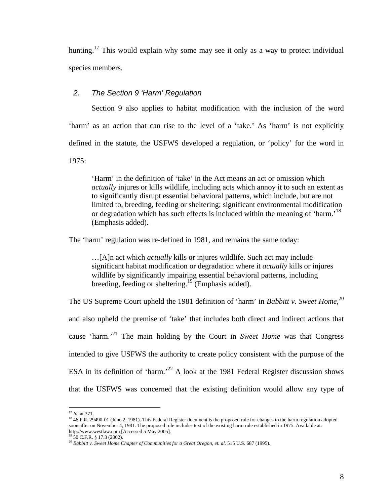<span id="page-14-0"></span>hunting.<sup>17</sup> This would explain why some may see it only as a way to protect individual species members.

#### *2. The Section 9 'Harm' Regulation*

Section 9 also applies to habitat modification with the inclusion of the word 'harm' as an action that can rise to the level of a 'take.' As 'harm' is not explicitly defined in the statute, the USFWS developed a regulation, or 'policy' for the word in 1975:

'Harm' in the definition of 'take' in the Act means an act or omission which *actually* injures or kills wildlife, including acts which annoy it to such an extent as to significantly disrupt essential behavioral patterns, which include, but are not limited to, breeding, feeding or sheltering; significant environmental modification or degradation which has such effects is included within the meaning of 'harm.'<sup>[18](#page-14-2)</sup> (Emphasis added).

The 'harm' regulation was re-defined in 1981, and remains the same today:

…[A]n act which *actually* kills or injures wildlife. Such act may include significant habitat modification or degradation where it *actually* kills or injures wildlife by significantly impairing essential behavioral patterns, including breeding, feeding or sheltering.<sup>19</sup> (Emphasis added).

The US Supreme Court upheld the 1981 definition of 'harm' in *Babbitt v. Sweet Home*, [20](#page-14-4) and also upheld the premise of 'take' that includes both direct and indirect actions that cause 'harm.['21](#page-14-5) The main holding by the Court in *Sweet Home* was that Congress intended to give USFWS the authority to create policy consistent with the purpose of the ESA in its definition of 'harm.<sup>22</sup> A look at the 1981 Federal Register discussion shows that the USFWS was concerned that the existing definition would allow any type of

<span id="page-14-6"></span><span id="page-14-5"></span> $\overline{a}$ <sup>17</sup> *Id*. at 371.

<span id="page-14-2"></span><span id="page-14-1"></span><sup>&</sup>lt;sup>18</sup> 46 F.R. 29490-01 (June 2, 1981). This Federal Register document is the proposed rule for changes to the harm regulation adopted soon after on November 4, 1981. The proposed rule includes text of the existing harm rule established in 1975. Available at: [http://www.westlaw.com](http://www.westlaw.com/) [Accessed 5 May 2005]. <sup>19</sup> 50 C.F.R. § 17.3 (2002).

<span id="page-14-4"></span><span id="page-14-3"></span><sup>20</sup> *Babbitt v. Sweet Home Chapter of Communities for a Great Oregon, et. al.* 515 U.S. 687 (1995).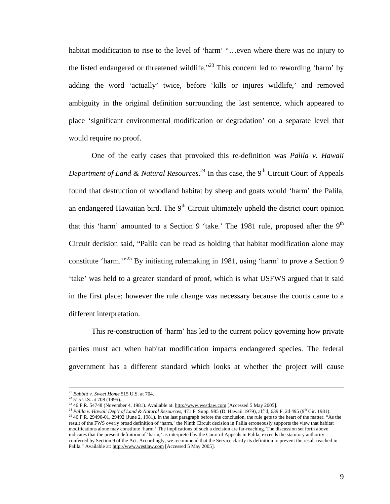habitat modification to rise to the level of 'harm' "...even where there was no injury to the listed endangered or threatened wildlife."<sup>23</sup> This concern led to rewording 'harm' by adding the word 'actually' twice, before 'kills or injures wildlife,' and removed ambiguity in the original definition surrounding the last sentence, which appeared to place 'significant environmental modification or degradation' on a separate level that would require no proof.

One of the early cases that provoked this re-definition was *Palila v. Hawaii*  Department of Land & Natural Resources.<sup>24</sup> In this case, the 9<sup>th</sup> Circuit Court of Appeals found that destruction of woodland habitat by sheep and goats would 'harm' the Palila, an endangered Hawaiian bird. The  $9<sup>th</sup>$  Circuit ultimately upheld the district court opinion that this 'harm' amounted to a Section 9 'take.' The 1981 rule, proposed after the  $9<sup>th</sup>$ Circuit decision said, "Palila can be read as holding that habitat modification alone may constitute 'harm.'"[25 B](#page-15-2)y initiating rulemaking in 1981, using 'harm' to prove a Section 9 'take' was held to a greater standard of proof, which is what USFWS argued that it said in the first place; however the rule change was necessary because the courts came to a different interpretation.

This re-construction of 'harm' has led to the current policy governing how private parties must act when habitat modification impacts endangered species. The federal government has a different standard which looks at whether the project will cause

 <sup>21</sup> *Babbitt v. Sweet Home* 515 U.S. at 704.

 $22$  515 U.S. at 708 (1995).

<span id="page-15-0"></span><sup>&</sup>lt;sup>23</sup> 46 F.R. 54748 (November 4, 1981). Available at:  $\frac{http://www.westlaw.com}{http://www.westlaw.com}$  $\frac{http://www.westlaw.com}{http://www.westlaw.com}$  $\frac{http://www.westlaw.com}{http://www.westlaw.com}$  [Accessed 5 May 2005].

<span id="page-15-2"></span><span id="page-15-1"></span><sup>&</sup>lt;sup>24</sup> Palila v. Hawaii Dep't of Land & Natural Resources, 471 F. Supp. 985 (D. Hawaii 1979), aff'd, 639 F. 2d 495 (9<sup>th</sup> Cir. 1981). <sup>25</sup> 46 F.R. 29490-01, 29492 (June 2, 1981). In the last paragraph before the conclusion, the rule gets to the heart of the matter. "As the result of the FWS overly broad definition of 'harm,' the Ninth Circuit decision in Palila erroneously supports the view that habitat modifications alone may constitute 'harm.' The implications of such a decision are far-reaching. The discussion set forth above indicates that the present definition of 'harm,' as interpreted by the Court of Appeals in Palila, exceeds the statutory authority conferred by Section 9 of the Act. Accordingly, we recommend that the Service clarify its definition to prevent the result reached in Palila." Available at: [http://www.westlaw.com](http://www.westlaw.com/) [Accessed 5 May 2005].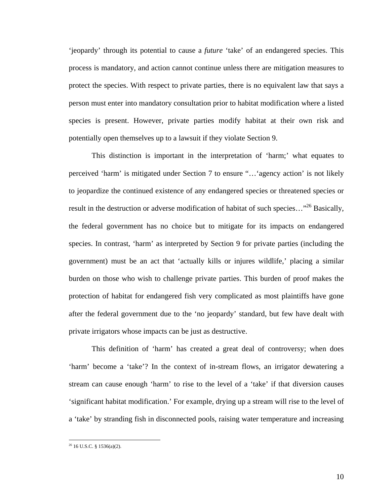'jeopardy' through its potential to cause a *future* 'take' of an endangered species. This process is mandatory, and action cannot continue unless there are mitigation measures to protect the species. With respect to private parties, there is no equivalent law that says a person must enter into mandatory consultation prior to habitat modification where a listed species is present. However, private parties modify habitat at their own risk and potentially open themselves up to a lawsuit if they violate Section 9.

This distinction is important in the interpretation of 'harm;' what equates to perceived 'harm' is mitigated under Section 7 to ensure "…'agency action' is not likely to jeopardize the continued existence of any endangered species or threatened species or result in the destruction or adverse modification of habitat of such species…"[26 B](#page-16-0)asically, the federal government has no choice but to mitigate for its impacts on endangered species. In contrast, 'harm' as interpreted by Section 9 for private parties (including the government) must be an act that 'actually kills or injures wildlife,' placing a similar burden on those who wish to challenge private parties. This burden of proof makes the protection of habitat for endangered fish very complicated as most plaintiffs have gone after the federal government due to the 'no jeopardy' standard, but few have dealt with private irrigators whose impacts can be just as destructive.

This definition of 'harm' has created a great deal of controversy; when does 'harm' become a 'take'? In the context of in-stream flows, an irrigator dewatering a stream can cause enough 'harm' to rise to the level of a 'take' if that diversion causes 'significant habitat modification.' For example, drying up a stream will rise to the level of a 'take' by stranding fish in disconnected pools, raising water temperature and increasing

<span id="page-16-0"></span> $26$  16 U.S.C. § 1536(a)(2).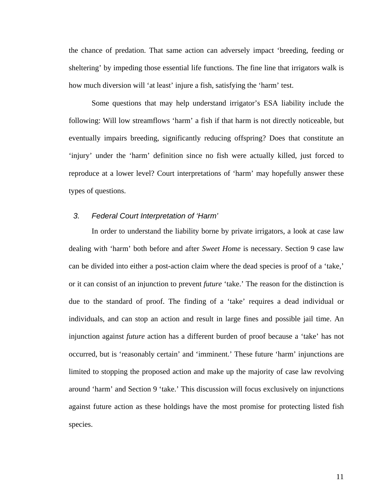<span id="page-17-0"></span>the chance of predation. That same action can adversely impact 'breeding, feeding or sheltering' by impeding those essential life functions. The fine line that irrigators walk is how much diversion will 'at least' injure a fish, satisfying the 'harm' test.

Some questions that may help understand irrigator's ESA liability include the following: Will low streamflows 'harm' a fish if that harm is not directly noticeable, but eventually impairs breeding, significantly reducing offspring? Does that constitute an 'injury' under the 'harm' definition since no fish were actually killed, just forced to reproduce at a lower level? Court interpretations of 'harm' may hopefully answer these types of questions.

#### *3. Federal Court Interpretation of 'Harm'*

In order to understand the liability borne by private irrigators, a look at case law dealing with 'harm' both before and after *Sweet Home* is necessary. Section 9 case law can be divided into either a post-action claim where the dead species is proof of a 'take,' or it can consist of an injunction to prevent *future* 'take.' The reason for the distinction is due to the standard of proof. The finding of a 'take' requires a dead individual or individuals, and can stop an action and result in large fines and possible jail time. An injunction against *future* action has a different burden of proof because a 'take' has not occurred, but is 'reasonably certain' and 'imminent.' These future 'harm' injunctions are limited to stopping the proposed action and make up the majority of case law revolving around 'harm' and Section 9 'take.' This discussion will focus exclusively on injunctions against future action as these holdings have the most promise for protecting listed fish species.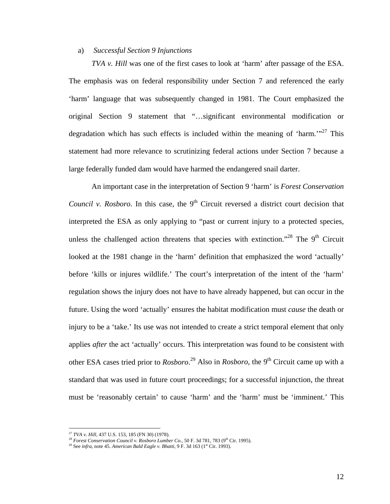#### <span id="page-18-0"></span>a) *Successful Section 9 Injunctions*

*TVA v. Hill* was one of the first cases to look at 'harm' after passage of the ESA. The emphasis was on federal responsibility under Section 7 and referenced the early 'harm' language that was subsequently changed in 1981. The Court emphasized the original Section 9 statement that "…significant environmental modification or degradation which has such effects is included within the meaning of 'harm.'"<sup>27</sup> This statement had more relevance to scrutinizing federal actions under Section 7 because a large federally funded dam would have harmed the endangered snail darter.

An important case in the interpretation of Section 9 'harm' is *Forest Conservation Council v. Rosboro.* In this case, the 9<sup>th</sup> Circuit reversed a district court decision that interpreted the ESA as only applying to "past or current injury to a protected species, unless the challenged action threatens that species with extinction."<sup>28</sup> The  $9<sup>th</sup>$  Circuit looked at the 1981 change in the 'harm' definition that emphasized the word 'actually' before 'kills or injures wildlife.' The court's interpretation of the intent of the 'harm' regulation shows the injury does not have to have already happened, but can occur in the future. Using the word 'actually' ensures the habitat modification must *cause* the death or injury to be a 'take.' Its use was not intended to create a strict temporal element that only applies *after* the act 'actually' occurs. This interpretation was found to be consistent with other ESA cases tried prior to *Rosboro*.<sup>29</sup> Also in *Rosboro*, the 9<sup>th</sup> Circuit came up with a standard that was used in future court proceedings; for a successful injunction, the threat must be 'reasonably certain' to cause 'harm' and the 'harm' must be 'imminent.' This

1

<span id="page-18-1"></span><sup>27</sup> *TVA v. Hill*, 437 U.S. 153, 185 (FN 30) (1978).

<span id="page-18-2"></span><sup>&</sup>lt;sup>28</sup> Forest Conservation Council v. Rosboro Lumber Co., 50 F. 3d 781, 783 (9<sup>th</sup> Cir. 1995).

<span id="page-18-3"></span><sup>&</sup>lt;sup>29</sup> See *infra*, note 45. *American Bald Eagle v. Bhatti*, 9 F. 3d 163 (1<sup>st</sup> Cir. 1993).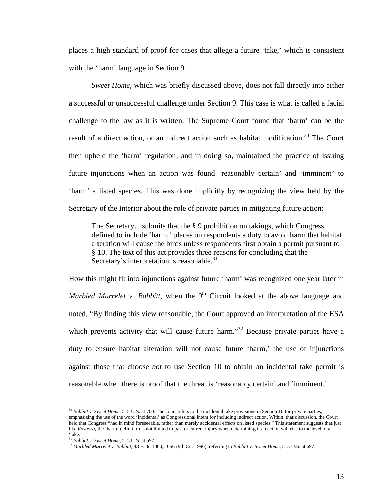places a high standard of proof for cases that allege a future 'take,' which is consistent with the 'harm' language in Section 9.

*Sweet Home*, which was briefly discussed above, does not fall directly into either a successful or unsuccessful challenge under Section 9. This case is what is called a facial challenge to the law as it is written. The Supreme Court found that 'harm' can be the result of a direct action, or an indirect action such as habitat modification.<sup>30</sup> The Court then upheld the 'harm' regulation, and in doing so, maintained the practice of issuing future injunctions when an action was found 'reasonably certain' and 'imminent' to 'harm' a listed species. This was done implicitly by recognizing the view held by the Secretary of the Interior about the role of private parties in mitigating future action:

The Secretary…submits that the § 9 prohibition on takings, which Congress defined to include 'harm,' places on respondents a duty to avoid harm that habitat alteration will cause the birds unless respondents first obtain a permit pursuant to § 10. The text of this act provides three reasons for concluding that the Secretary's interpretation is reasonable. $31$ 

How this might fit into injunctions against future 'harm' was recognized one year later in *Marbled Murrelet v. Babbitt*, when the 9<sup>th</sup> Circuit looked at the above language and noted, "By finding this view reasonable, the Court approved an interpretation of the ESA which prevents activity that will cause future harm."<sup>32</sup> Because private parties have a duty to ensure habitat alteration will not cause future 'harm,' the use of injunctions against those that choose *not* to use Section 10 to obtain an incidental take permit is reasonable when there is proof that the threat is 'reasonably certain' and 'imminent.'

1

13

<span id="page-19-0"></span><sup>&</sup>lt;sup>30</sup> Babbitt v. Sweet Home, 515 U.S. at 700. The court refers to the incidental take provisions in Section 10 for private parties, emphasizing the use of the word 'incidental' as Congressional intent for including indirect action. Within that discussion, the Court held that Congress "had in mind foreseeable, rather than merely accidental effects on listed species." This statement suggests that just like *Rosboro*, the 'harm' definition is not limited to past or current injury when determining if an action will rise to the level of a 'take.'

<span id="page-19-1"></span><sup>31</sup> *Babbitt v. Sweet Home*, 515 U.S. at 697.

<span id="page-19-2"></span><sup>32</sup> *Marbled Murrelet v. Babbitt,* 83 F. 3d 1060, 1066 (9th Cir. 1996), referring to *Babbitt v. Sweet Home*, 515 U.S. at 697.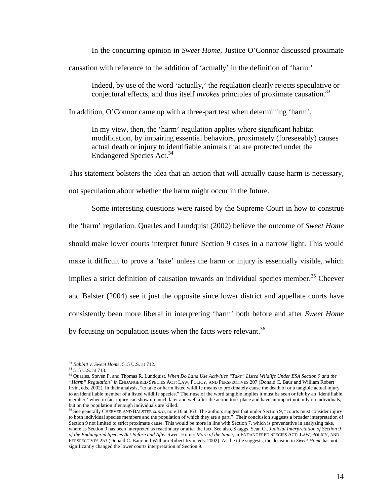In the concurring opinion in *Sweet Home*, Justice O'Connor discussed proximate

causation with reference to the addition of 'actually' in the definition of 'harm:'

Indeed, by use of the word 'actually,' the regulation clearly rejects speculative or conjectural effects, and thus itself *invokes* principles of proximate causation.[33](#page-20-0)

In addition, O'Connor came up with a three-part test when determining 'harm'.

In my view, then, the 'harm' regulation applies where significant habitat modification, by impairing essential behaviors, proximately (foreseeably) causes actual death or injury to identifiable animals that are protected under the Endangered Species Act.<sup>34</sup>

This statement bolsters the idea that an action that will actually cause harm is necessary, not speculation about whether the harm might occur in the future.

Some interesting questions were raised by the Supreme Court in how to construe the 'harm' regulation. Quarles and Lundquist (2002) believe the outcome of *Sweet Home* should make lower courts interpret future Section 9 cases in a narrow light. This would make it difficult to prove a 'take' unless the harm or injury is essentially visible, which implies a strict definition of causation towards an individual species member.<sup>35</sup> Cheever and Balster (2004) see it just the opposite since lower district and appellate courts have consistently been more liberal in interpreting 'harm' both before and after *Sweet Home* by focusing on population issues when the facts were relevant.<sup>[36](#page-20-3)</sup>

<span id="page-20-0"></span><sup>33</sup> *Babbitt v. Sweet Home*, 515 U.S. at 712.

<span id="page-20-1"></span><sup>34 515</sup> U.S. at 713.

<span id="page-20-2"></span><sup>35</sup> Quarles, Steven P. and Thomas R. Lundquist, *When Do Land Use Activities "Take" Listed Wildlife Under ESA Section 9 and the "Harm" Regulation? in* ENDANGERED SPECIES ACT: LAW, POLICY, AND PERSPECTIVES 207 (Donald C. Baur and William Robert Irvin, eds. 2002). In their analysis, "to take or harm listed wildlife means to proximately cause the death of or a tangible actual injury to an identifiable member of a listed wildlife species." Their use of the word tangible implies it must be seen or felt by an 'identifiable member,' when in fact injury can show up much later and well after the action took place and have an impact not only on individuals, but on the population if enough individuals are killed.

<span id="page-20-3"></span><sup>&</sup>lt;sup>36</sup> See generally CHEEVER AND BALSTER *supra*, note 16 at 363. The authors suggest that under Section 9, "courts must consider injury to both individual species members and the population of which they are a part." Their conclusion suggests a broader interpretation of Section 9 not limited to strict proximate cause. This would be more in line with Section 7, which is preventative in analyzing take, where as Section 9 has been interpreted as reactionary or after the fact. See also, Skaggs, Sean C., *Judicial Interpretation of Section 9 of the Endangered Species Act Before and After* Sweet Home*: More of the Same*, in ENDANGERED SPECIES ACT: LAW, POLICY, AND PERSPECTIVES 253 (Donald C. Baur and William Robert Irvin, eds. 2002). As the title suggests, the decision in *Sweet Home* has not significantly changed the lower courts interpretation of Section 9.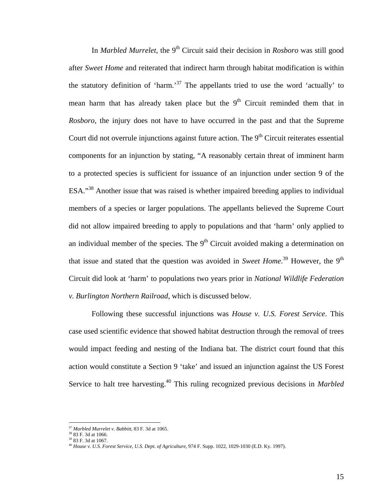In *Marbled Murrelet*, the 9<sup>th</sup> Circuit said their decision in *Rosboro* was still good after *Sweet Home* and reiterated that indirect harm through habitat modification is within the statutory definition of 'harm.<sup>37</sup> The appellants tried to use the word 'actually' to mean harm that has already taken place but the  $9<sup>th</sup>$  Circuit reminded them that in *Rosboro*, the injury does not have to have occurred in the past and that the Supreme Court did not overrule injunctions against future action. The  $9<sup>th</sup>$  Circuit reiterates essential components for an injunction by stating, "A reasonably certain threat of imminent harm to a protected species is sufficient for issuance of an injunction under section 9 of the ESA."[38](#page-21-1) Another issue that was raised is whether impaired breeding applies to individual members of a species or larger populations. The appellants believed the Supreme Court did not allow impaired breeding to apply to populations and that 'harm' only applied to an individual member of the species. The  $9<sup>th</sup>$  Circuit avoided making a determination on that issue and stated that the question was avoided in *Sweet Home*.<sup>39</sup> However, the 9<sup>th</sup> Circuit did look at 'harm' to populations two years prior in *National Wildlife Federation v. Burlington Northern Railroad*, which is discussed below.

Following these successful injunctions was *House v. U.S. Forest Service*. This case used scientific evidence that showed habitat destruction through the removal of trees would impact feeding and nesting of the Indiana bat. The district court found that this action would constitute a Section 9 'take' and issued an injunction against the US Forest Service to halt tree harvesting.<sup>40</sup> This ruling recognized previous decisions in *Marbled* 

<span id="page-21-0"></span><sup>37</sup> *Marbled Murrelet v. Babbitt*, 83 F. 3d at 1065.

<span id="page-21-1"></span><sup>38</sup> 83 F. 3d at 1066.

<span id="page-21-2"></span><sup>39</sup> 83 F. 3d at 1067.

<span id="page-21-3"></span><sup>40</sup> *House v. U.S. Forest Service, U.S. Dept. of Agriculture*, 974 F. Supp. 1022, 1029-1030 (E.D. Ky. 1997).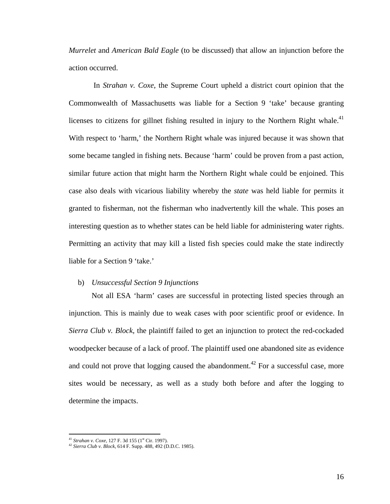<span id="page-22-0"></span>*Murrelet* and *American Bald Eagle* (to be discussed) that allow an injunction before the action occurred.

 In *Strahan v. Coxe*, the Supreme Court upheld a district court opinion that the Commonwealth of Massachusetts was liable for a Section 9 'take' because granting licenses to citizens for gillnet fishing resulted in injury to the Northern Right whale.<sup>41</sup> With respect to 'harm,' the Northern Right whale was injured because it was shown that some became tangled in fishing nets. Because 'harm' could be proven from a past action, similar future action that might harm the Northern Right whale could be enjoined. This case also deals with vicarious liability whereby the *state* was held liable for permits it granted to fisherman, not the fisherman who inadvertently kill the whale. This poses an interesting question as to whether states can be held liable for administering water rights. Permitting an activity that may kill a listed fish species could make the state indirectly liable for a Section 9 'take.'

#### b) *Unsuccessful Section 9 Injunctions*

Not all ESA 'harm' cases are successful in protecting listed species through an injunction. This is mainly due to weak cases with poor scientific proof or evidence. In *Sierra Club v. Block*, the plaintiff failed to get an injunction to protect the red-cockaded woodpecker because of a lack of proof. The plaintiff used one abandoned site as evidence and could not prove that logging caused the abandonment.<sup>42</sup> For a successful case, more sites would be necessary, as well as a study both before and after the logging to determine the impacts.

<span id="page-22-1"></span><sup>&</sup>lt;sup>41</sup> Strahan v. Coxe, 127 F. 3d 155 (1<sup>st</sup> Cir. 1997).

<span id="page-22-2"></span><sup>42</sup> *Sierra Club v. Block*, 614 F. Supp. 488, 492 (D.D.C. 1985).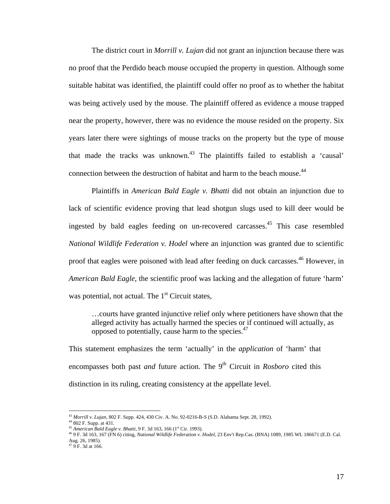The district court in *Morrill v. Lujan* did not grant an injunction because there was no proof that the Perdido beach mouse occupied the property in question. Although some suitable habitat was identified, the plaintiff could offer no proof as to whether the habitat was being actively used by the mouse. The plaintiff offered as evidence a mouse trapped near the property, however, there was no evidence the mouse resided on the property. Six years later there were sightings of mouse tracks on the property but the type of mouse that made the tracks was unknown.<sup>43</sup> The plaintiffs failed to establish a 'causal' connection between the destruction of habitat and harm to the beach mouse.<sup>[44](#page-23-1)</sup>

 Plaintiffs in *American Bald Eagle v. Bhatti* did not obtain an injunction due to lack of scientific evidence proving that lead shotgun slugs used to kill deer would be ingested by bald eagles feeding on un-recovered carcasses[.45](#page-23-2) This case resembled *National Wildlife Federation v. Hodel* where an injunction was granted due to scientific proof that eagles were poisoned with lead after feeding on duck carcasses.<sup>46</sup> However, in *American Bald Eagle*, the scientific proof was lacking and the allegation of future 'harm' was potential, not actual. The  $1<sup>st</sup>$  Circuit states,

…courts have granted injunctive relief only where petitioners have shown that the alleged activity has actually harmed the species or if continued will actually, as opposed to potentially, cause harm to the species.<sup>[47](#page-23-4)</sup>

This statement emphasizes the term 'actually' in the *application* of 'harm' that encompasses both past *and* future action. The  $9<sup>th</sup>$  Circuit in *Rosboro* cited this distinction in its ruling, creating consistency at the appellate level.

<span id="page-23-0"></span><sup>43</sup> *Morrill v. Lujan*, 802 F. Supp. 424, 430 Civ. A. No. 92-0216-B-S (S.D. Alabama Sept. 28, 1992).

<span id="page-23-1"></span><sup>44</sup> 802 F. Supp. at 431.

<span id="page-23-2"></span><sup>45</sup> *American Bald Eagle v. Bhatti*, 9 F. 3d 163, 166 (1st Cir. 1993).

<span id="page-23-3"></span><sup>46 9</sup> F. 3d 163, 167 (FN 6) citing, *National Wildlife Federation v. Hodel,* 23 Env't Rep.Cas. (BNA) 1089, 1985 WL 186671 (E.D. Cal. Aug. 26, 1985).

<span id="page-23-4"></span> $479$  F. 3d at 166.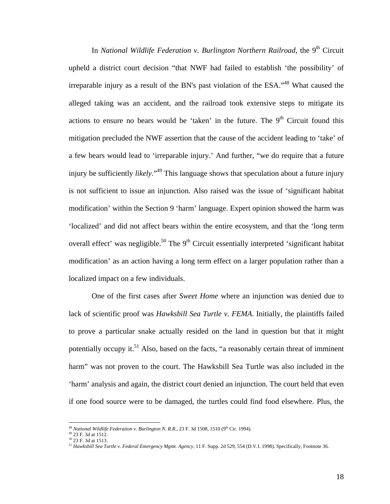In *National Wildlife Federation v. Burlington Northern Railroad*, the 9<sup>th</sup> Circuit upheld a district court decision "that NWF had failed to establish 'the possibility' of irreparable injury as a result of the BN's past violation of the ESA."<sup>48</sup> What caused the alleged taking was an accident, and the railroad took extensive steps to mitigate its actions to ensure no bears would be 'taken' in the future. The  $9<sup>th</sup>$  Circuit found this mitigation precluded the NWF assertion that the cause of the accident leading to 'take' of a few bears would lead to 'irreparable injury.' And further, "we do require that a future injury be sufficiently *likely*."[49 T](#page-24-1)his language shows that speculation about a future injury is not sufficient to issue an injunction. Also raised was the issue of 'significant habitat modification' within the Section 9 'harm' language. Expert opinion showed the harm was 'localized' and did not affect bears within the entire ecosystem, and that the 'long term overall effect' was negligible.<sup>50</sup> The  $9<sup>th</sup>$  Circuit essentially interpreted 'significant habitat modification' as an action having a long term effect on a larger population rather than a localized impact on a few individuals.

One of the first cases after *Sweet Home* where an injunction was denied due to lack of scientific proof was *Hawksbill Sea Turtle v. FEMA*. Initially, the plaintiffs failed to prove a particular snake actually resided on the land in question but that it might potentially occupy it.<sup>51</sup> Also, based on the facts, "a reasonably certain threat of imminent harm" was not proven to the court. The Hawksbill Sea Turtle was also included in the 'harm' analysis and again, the district court denied an injunction. The court held that even if one food source were to be damaged, the turtles could find food elsewhere. Plus, the

<span id="page-24-0"></span><sup>&</sup>lt;sup>48</sup> *National Wildlife Federation v. Burlington N. R.R.*, 23 F. 3d 1508, 1510 (9<sup>th</sup> Cir. 1994).

<span id="page-24-1"></span><sup>49 23</sup> F. 3d at 1512.

<span id="page-24-2"></span><sup>50 23</sup> F. 3d at 1513.

<span id="page-24-3"></span><sup>51</sup> *Hawksbill Sea Turtle v. Federal Emergency Mgmt. Agency*, 11 F. Supp. 2d 529, 554 (D.V.I. 1998). Specifically, Footnote 36.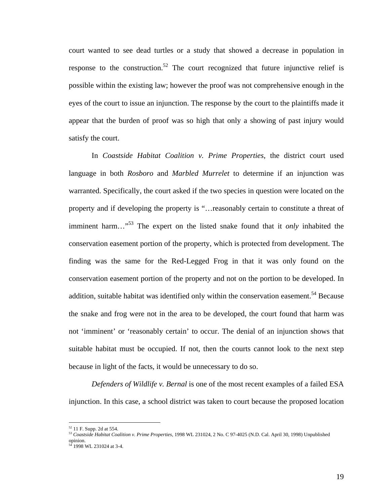court wanted to see dead turtles or a study that showed a decrease in population in response to the construction.<sup>52</sup> The court recognized that future injunctive relief is possible within the existing law; however the proof was not comprehensive enough in the eyes of the court to issue an injunction. The response by the court to the plaintiffs made it appear that the burden of proof was so high that only a showing of past injury would satisfy the court.

 In *Coastside Habitat Coalition v. Prime Properties*, the district court used language in both *Rosboro* and *Marbled Murrelet* to determine if an injunction was warranted. Specifically, the court asked if the two species in question were located on the property and if developing the property is "…reasonably certain to constitute a threat of imminent harm…"[53](#page-25-1) The expert on the listed snake found that it *only* inhabited the conservation easement portion of the property, which is protected from development. The finding was the same for the Red-Legged Frog in that it was only found on the conservation easement portion of the property and not on the portion to be developed. In addition, suitable habitat was identified only within the conservation easement.<sup>54</sup> Because the snake and frog were not in the area to be developed, the court found that harm was not 'imminent' or 'reasonably certain' to occur. The denial of an injunction shows that suitable habitat must be occupied. If not, then the courts cannot look to the next step because in light of the facts, it would be unnecessary to do so.

*Defenders of Wildlife v. Bernal* is one of the most recent examples of a failed ESA injunction. In this case, a school district was taken to court because the proposed location

<span id="page-25-0"></span><sup>52</sup> 11 F. Supp. 2d at 554.

<span id="page-25-1"></span><sup>53</sup> *Coastside Habitat Coalition v. Prime Properties*, 1998 WL 231024, 2 No. C 97-4025 (N.D. Cal. April 30, 1998) Unpublished opinion. 1998 WL 231024 at 3-4.

<span id="page-25-2"></span>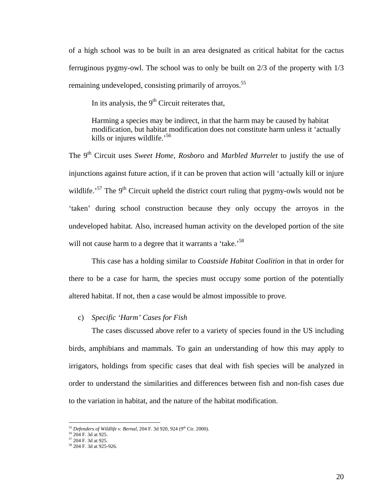<span id="page-26-0"></span>of a high school was to be built in an area designated as critical habitat for the cactus ferruginous pygmy-owl. The school was to only be built on 2/3 of the property with 1/3 remaining undeveloped, consisting primarily of arroyos.<sup>[55](#page-26-1)</sup>

In its analysis, the 9<sup>th</sup> Circuit reiterates that,

Harming a species may be indirect, in that the harm may be caused by habitat modification, but habitat modification does not constitute harm unless it 'actually kills or injures wildlife.'[56](#page-26-2)

The 9<sup>th</sup> Circuit uses *Sweet Home*, *Rosboro* and *Marbled Murrelet* to justify the use of injunctions against future action, if it can be proven that action will 'actually kill or injure wildlife.<sup>57</sup> The 9<sup>th</sup> Circuit upheld the district court ruling that pygmy-owls would not be 'taken' during school construction because they only occupy the arroyos in the undeveloped habitat. Also, increased human activity on the developed portion of the site will not cause harm to a degree that it warrants a 'take.'<sup>[58](#page-26-4)</sup>

This case has a holding similar to *Coastside Habitat Coalition* in that in order for there to be a case for harm, the species must occupy some portion of the potentially altered habitat. If not, then a case would be almost impossible to prove.

#### c) *Specific 'Harm' Cases for Fish*

The cases discussed above refer to a variety of species found in the US including birds, amphibians and mammals. To gain an understanding of how this may apply to irrigators, holdings from specific cases that deal with fish species will be analyzed in order to understand the similarities and differences between fish and non-fish cases due to the variation in habitat, and the nature of the habitat modification.

<span id="page-26-1"></span><sup>&</sup>lt;sup>55</sup> Defenders of Wildlife v. Bernal, 204 F. 3d 920, 924 (9<sup>th</sup> Cir. 2000).

<span id="page-26-2"></span><sup>56</sup> 204 F. 3d at 925.

<span id="page-26-3"></span> $57$  204 F. 3d at 925.

<span id="page-26-4"></span><sup>58</sup> 204 F. 3d at 925-926.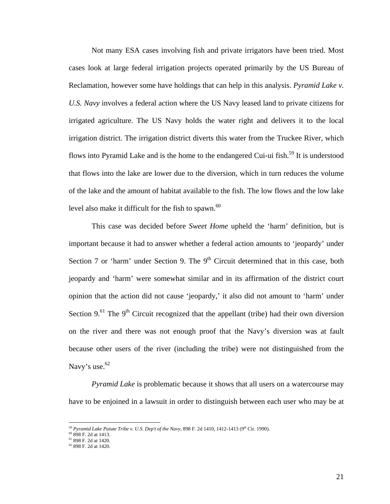Not many ESA cases involving fish and private irrigators have been tried. Most cases look at large federal irrigation projects operated primarily by the US Bureau of Reclamation, however some have holdings that can help in this analysis. *Pyramid Lake v. U.S. Navy* involves a federal action where the US Navy leased land to private citizens for irrigated agriculture. The US Navy holds the water right and delivers it to the local irrigation district. The irrigation district diverts this water from the Truckee River, which flows into Pyramid Lake and is the home to the endangered Cui-ui fish.<sup>59</sup> It is understood that flows into the lake are lower due to the diversion, which in turn reduces the volume of the lake and the amount of habitat available to the fish. The low flows and the low lake level also make it difficult for the fish to spawn. $60$ 

This case was decided before *Sweet Home* upheld the 'harm' definition, but is important because it had to answer whether a federal action amounts to 'jeopardy' under Section 7 or 'harm' under Section 9. The  $9<sup>th</sup>$  Circuit determined that in this case, both jeopardy and 'harm' were somewhat similar and in its affirmation of the district court opinion that the action did not cause 'jeopardy,' it also did not amount to 'harm' under Section 9.<sup>61</sup> The 9<sup>th</sup> Circuit recognized that the appellant (tribe) had their own diversion on the river and there was not enough proof that the Navy's diversion was at fault because other users of the river (including the tribe) were not distinguished from the Navy's use.<sup>62</sup>

*Pyramid Lake* is problematic because it shows that all users on a watercourse may have to be enjoined in a lawsuit in order to distinguish between each user who may be at

<span id="page-27-0"></span><sup>&</sup>lt;sup>59</sup> Pyramid Lake Paiute Tribe v. U.S. Dep't of the Navy, 898 F. 2d 1410, 1412-1413 (9<sup>th</sup> Cir. 1990).

<span id="page-27-1"></span><sup>60</sup> 898 F. 2d at 1413.

<span id="page-27-2"></span><sup>61</sup> 898 F. 2d at 1420.

<span id="page-27-3"></span> $62$  898 F. 2d at 1420.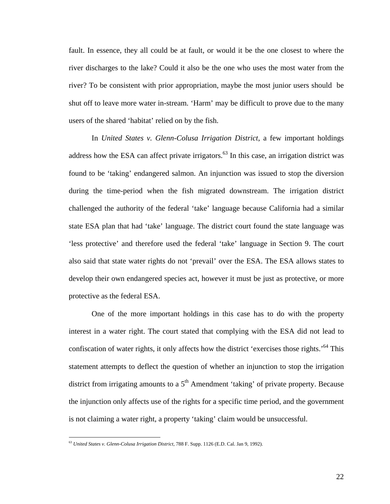fault. In essence, they all could be at fault, or would it be the one closest to where the river discharges to the lake? Could it also be the one who uses the most water from the river? To be consistent with prior appropriation, maybe the most junior users should be shut off to leave more water in-stream. 'Harm' may be difficult to prove due to the many users of the shared 'habitat' relied on by the fish.

 In *United States v. Glenn-Colusa Irrigation District*, a few important holdings address how the ESA can affect private irrigators.<sup>63</sup> In this case, an irrigation district was found to be 'taking' endangered salmon. An injunction was issued to stop the diversion during the time-period when the fish migrated downstream. The irrigation district challenged the authority of the federal 'take' language because California had a similar state ESA plan that had 'take' language. The district court found the state language was 'less protective' and therefore used the federal 'take' language in Section 9. The court also said that state water rights do not 'prevail' over the ESA. The ESA allows states to develop their own endangered species act, however it must be just as protective, or more protective as the federal ESA.

One of the more important holdings in this case has to do with the property interest in a water right. The court stated that complying with the ESA did not lead to confiscation of water rights, it only affects how the district 'exercises those rights.'<sup>64</sup> This statement attempts to deflect the question of whether an injunction to stop the irrigation district from irrigating amounts to a  $5<sup>th</sup>$  Amendment 'taking' of private property. Because the injunction only affects use of the rights for a specific time period, and the government is not claiming a water right, a property 'taking' claim would be unsuccessful.

<span id="page-28-1"></span>1

<span id="page-28-0"></span><sup>63</sup> *United States v. Glenn-Colusa Irrigation District*, 788 F. Supp. 1126 (E.D. Cal. Jan 9, 1992).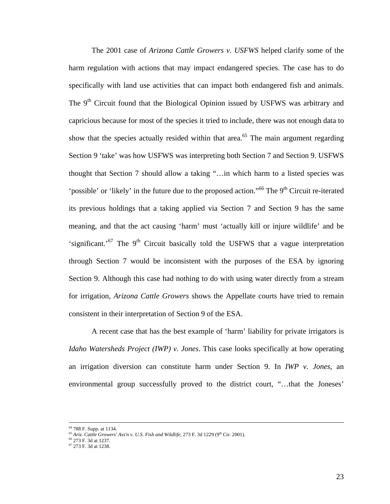The 2001 case of *Arizona Cattle Growers v. USFWS* helped clarify some of the harm regulation with actions that may impact endangered species. The case has to do specifically with land use activities that can impact both endangered fish and animals. The 9<sup>th</sup> Circuit found that the Biological Opinion issued by USFWS was arbitrary and capricious because for most of the species it tried to include, there was not enough data to show that the species actually resided within that area.<sup>65</sup> The main argument regarding Section 9 'take' was how USFWS was interpreting both Section 7 and Section 9. USFWS thought that Section 7 should allow a taking "…in which harm to a listed species was 'possible' or 'likely' in the future due to the proposed action."<sup>66</sup> The 9<sup>th</sup> Circuit re-iterated its previous holdings that a taking applied via Section 7 and Section 9 has the same meaning, and that the act causing 'harm' must 'actually kill or injure wildlife' and be 'significant.'<sup>67</sup> The  $9<sup>th</sup>$  Circuit basically told the USFWS that a vague interpretation through Section 7 would be inconsistent with the purposes of the ESA by ignoring Section 9. Although this case had nothing to do with using water directly from a stream for irrigation, *Arizona Cattle Growers* shows the Appellate courts have tried to remain consistent in their interpretation of Section 9 of the ESA.

A recent case that has the best example of 'harm' liability for private irrigators is *Idaho Watersheds Project (IWP) v. Jones*. This case looks specifically at how operating an irrigation diversion can constitute harm under Section 9. In *IWP v. Jones*, an environmental group successfully proved to the district court, "…that the Joneses'

 <sup>64 788</sup> F. Supp. at 1134.

<span id="page-29-0"></span><sup>&</sup>lt;sup>65</sup> Ariz. Cattle Growers' Ass'n v. U.S. Fish and Wildlife, 273 F. 3d 1229 (9<sup>th</sup> Cir. 2001).

<span id="page-29-1"></span><sup>66</sup> 273 F. 3d at 1237.

<span id="page-29-2"></span> $67$  273 F. 3d at 1238.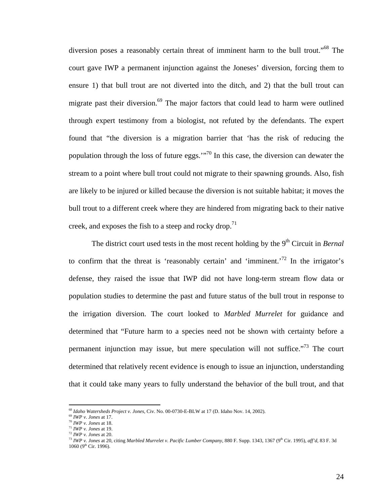diversion poses a reasonably certain threat of imminent harm to the bull trout."<sup>68</sup> The court gave IWP a permanent injunction against the Joneses' diversion, forcing them to ensure 1) that bull trout are not diverted into the ditch, and 2) that the bull trout can migrate past their diversion. $69$  The major factors that could lead to harm were outlined through expert testimony from a biologist, not refuted by the defendants. The expert found that "the diversion is a migration barrier that 'has the risk of reducing the population through the loss of future eggs."<sup>70</sup> In this case, the diversion can dewater the stream to a point where bull trout could not migrate to their spawning grounds. Also, fish are likely to be injured or killed because the diversion is not suitable habitat; it moves the bull trout to a different creek where they are hindered from migrating back to their native creek, and exposes the fish to a steep and rocky drop.<sup>[71](#page-30-3)</sup>

The district court used tests in the most recent holding by the 9<sup>th</sup> Circuit in *Bernal* to confirm that the threat is 'reasonably certain' and 'imminent.<sup>72</sup> In the irrigator's defense, they raised the issue that IWP did not have long-term stream flow data or population studies to determine the past and future status of the bull trout in response to the irrigation diversion. The court looked to *Marbled Murrelet* for guidance and determined that "Future harm to a species need not be shown with certainty before a permanent injunction may issue, but mere speculation will not suffice.["73](#page-30-5) The court determined that relatively recent evidence is enough to issue an injunction, understanding that it could take many years to fully understand the behavior of the bull trout, and that

1

<span id="page-30-0"></span><sup>68</sup> *Idaho Watersheds Project v. Jones*, Civ. No. 00-0730-E-BLW at 17 (D. Idaho Nov. 14, 2002).

<span id="page-30-1"></span>

<span id="page-30-3"></span>

<span id="page-30-5"></span><span id="page-30-4"></span>

<span id="page-30-2"></span><sup>&</sup>lt;sup>11</sup> *IWP v. Jones* at 18.<br><sup>71</sup> *IWP v. Jones* at 18.<br><sup>72</sup> *IWP v. Jones* at 19.<br><sup>72</sup> *IWP v. Jones* at 20. citing *Marbled Murrelet v. Pacific Lumber Company*, 880 F. Supp. 1343, 1367 (9<sup>th</sup> Cir. 1995), *aff*'d, 83 F. 3d  $1060$  (9<sup>th</sup> Cir. 1996).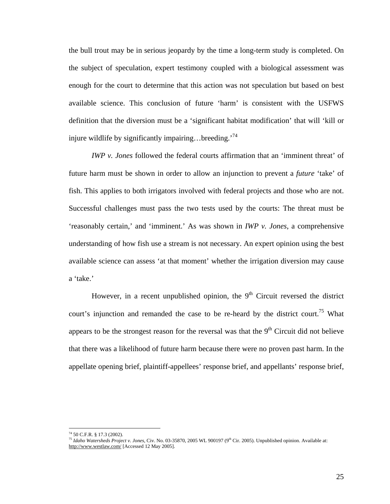the bull trout may be in serious jeopardy by the time a long-term study is completed. On the subject of speculation, expert testimony coupled with a biological assessment was enough for the court to determine that this action was not speculation but based on best available science. This conclusion of future 'harm' is consistent with the USFWS definition that the diversion must be a 'significant habitat modification' that will 'kill or injure wildlife by significantly impairing...breeding.<sup>[74](#page-31-0)</sup>

*IWP v. Jones* followed the federal courts affirmation that an 'imminent threat' of future harm must be shown in order to allow an injunction to prevent a *future* 'take' of fish. This applies to both irrigators involved with federal projects and those who are not. Successful challenges must pass the two tests used by the courts: The threat must be 'reasonably certain,' and 'imminent.' As was shown in *IWP v. Jones*, a comprehensive understanding of how fish use a stream is not necessary. An expert opinion using the best available science can assess 'at that moment' whether the irrigation diversion may cause a 'take.'

However, in a recent unpublished opinion, the  $9<sup>th</sup>$  Circuit reversed the district court's injunction and remanded the case to be re-heard by the district court.<sup>75</sup> What appears to be the strongest reason for the reversal was that the  $9<sup>th</sup>$  Circuit did not believe that there was a likelihood of future harm because there were no proven past harm. In the appellate opening brief, plaintiff-appellees' response brief, and appellants' response brief,

1

<span id="page-31-0"></span><sup>74 50</sup> C.F.R. § 17.3 (2002).

<span id="page-31-1"></span><sup>75</sup> *Idaho Watersheds Project v. Jones*, Civ. No. 03-35870, 2005 WL 900197 (9th Cir. 2005). Unpublished opinion. Available at: <http://www.westlaw.com/>[Accessed 12 May 2005].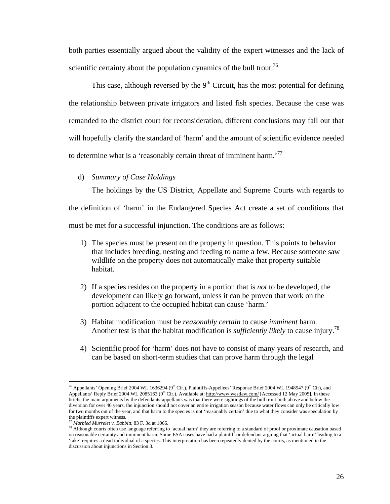<span id="page-32-0"></span>both parties essentially argued about the validity of the expert witnesses and the lack of scientific certainty about the population dynamics of the bull trout.<sup>[76](#page-32-1)</sup>

This case, although reversed by the  $9<sup>th</sup>$  Circuit, has the most potential for defining the relationship between private irrigators and listed fish species. Because the case was remanded to the district court for reconsideration, different conclusions may fall out that will hopefully clarify the standard of 'harm' and the amount of scientific evidence needed to determine what is a 'reasonably certain threat of imminent harm.<sup>[77](#page-32-2)</sup>

d) *Summary of Case Holdings* 

The holdings by the US District, Appellate and Supreme Courts with regards to the definition of 'harm' in the Endangered Species Act create a set of conditions that

must be met for a successful injunction. The conditions are as follows:

- 1) The species must be present on the property in question. This points to behavior that includes breeding, nesting and feeding to name a few. Because someone saw wildlife on the property does not automatically make that property suitable habitat.
- 2) If a species resides on the property in a portion that is *not* to be developed, the development can likely go forward, unless it can be proven that work on the portion adjacent to the occupied habitat can cause 'harm.'
- 3) Habitat modification must be *reasonably certain* to cause *imminent* harm. Another test is that the habitat modification is *sufficiently likely* to cause injury[.78](#page-32-3)
- 4) Scientific proof for 'harm' does not have to consist of many years of research, and can be based on short-term studies that can prove harm through the legal

<span id="page-32-1"></span><sup>1</sup> <sup>76</sup> Appellants' Opening Brief 2004 WL 1636294 (9<sup>th</sup> Cir.), Plaintiffs-Appellees' Response Brief 2004 WL 1948947 (9<sup>th</sup> Cir), and Appellants' Reply Brief 2004 WL 2085163 (9<sup>th</sup> Cir.). Available at: <http://www.westlaw.com/> [Accessed 12 May 2005]. In these briefs, the main arguments by the defendants-appellants was that there were sightings of the bull trout both above and below the diversion for over 40 years, the injunction should not cover an entire irrigation season because water flows can only be critically low for two months out of the year, and that harm to the species is not 'reasonably certain' due to what they consider was speculation by the plaintiffs expert witness.

<span id="page-32-2"></span><sup>77</sup> *Marbled Murrelet v. Babbitt*, 83 F. 3d at 1066.

<span id="page-32-3"></span><sup>&</sup>lt;sup>78</sup> Although courts often use language referring to 'actual harm' they are referring to a standard of proof or proximate causation based on reasonable certainty and imminent harm. Some ESA cases have had a plaintiff or defendant arguing that 'actual harm' leading to a 'take' requires a dead individual of a species. This interpretation has been repeatedly denied by the courts, as mentioned in the discussion about injunctions in Section 3.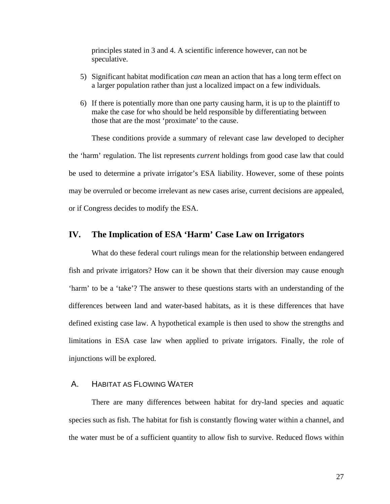<span id="page-33-0"></span>principles stated in 3 and 4. A scientific inference however, can not be speculative.

- 5) Significant habitat modification *can* mean an action that has a long term effect on a larger population rather than just a localized impact on a few individuals.
- 6) If there is potentially more than one party causing harm, it is up to the plaintiff to make the case for who should be held responsible by differentiating between those that are the most 'proximate' to the cause.

These conditions provide a summary of relevant case law developed to decipher the 'harm' regulation. The list represents *current* holdings from good case law that could be used to determine a private irrigator's ESA liability. However, some of these points may be overruled or become irrelevant as new cases arise, current decisions are appealed, or if Congress decides to modify the ESA.

## **IV. The Implication of ESA 'Harm' Case Law on Irrigators**

What do these federal court rulings mean for the relationship between endangered fish and private irrigators? How can it be shown that their diversion may cause enough 'harm' to be a 'take'? The answer to these questions starts with an understanding of the differences between land and water-based habitats, as it is these differences that have defined existing case law. A hypothetical example is then used to show the strengths and limitations in ESA case law when applied to private irrigators. Finally, the role of injunctions will be explored.

#### A. HABITAT AS FLOWING WATER

There are many differences between habitat for dry-land species and aquatic species such as fish. The habitat for fish is constantly flowing water within a channel, and the water must be of a sufficient quantity to allow fish to survive. Reduced flows within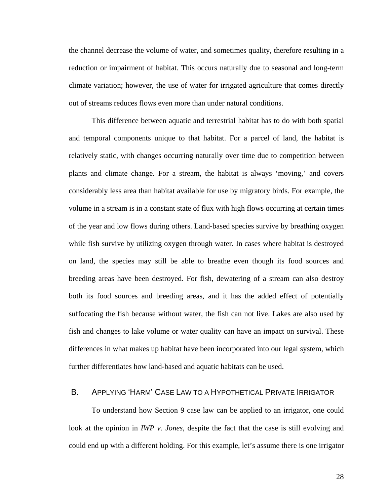<span id="page-34-0"></span>the channel decrease the volume of water, and sometimes quality, therefore resulting in a reduction or impairment of habitat. This occurs naturally due to seasonal and long-term climate variation; however, the use of water for irrigated agriculture that comes directly out of streams reduces flows even more than under natural conditions.

This difference between aquatic and terrestrial habitat has to do with both spatial and temporal components unique to that habitat. For a parcel of land, the habitat is relatively static, with changes occurring naturally over time due to competition between plants and climate change. For a stream, the habitat is always 'moving,' and covers considerably less area than habitat available for use by migratory birds. For example, the volume in a stream is in a constant state of flux with high flows occurring at certain times of the year and low flows during others. Land-based species survive by breathing oxygen while fish survive by utilizing oxygen through water. In cases where habitat is destroyed on land, the species may still be able to breathe even though its food sources and breeding areas have been destroyed. For fish, dewatering of a stream can also destroy both its food sources and breeding areas, and it has the added effect of potentially suffocating the fish because without water, the fish can not live. Lakes are also used by fish and changes to lake volume or water quality can have an impact on survival. These differences in what makes up habitat have been incorporated into our legal system, which further differentiates how land-based and aquatic habitats can be used.

### B. APPLYING 'HARM' CASE LAW TO A HYPOTHETICAL PRIVATE IRRIGATOR

To understand how Section 9 case law can be applied to an irrigator, one could look at the opinion in *IWP v. Jones*, despite the fact that the case is still evolving and could end up with a different holding. For this example, let's assume there is one irrigator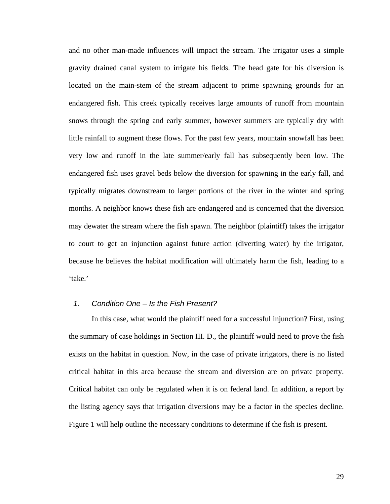<span id="page-35-0"></span>and no other man-made influences will impact the stream. The irrigator uses a simple gravity drained canal system to irrigate his fields. The head gate for his diversion is located on the main-stem of the stream adjacent to prime spawning grounds for an endangered fish. This creek typically receives large amounts of runoff from mountain snows through the spring and early summer, however summers are typically dry with little rainfall to augment these flows. For the past few years, mountain snowfall has been very low and runoff in the late summer/early fall has subsequently been low. The endangered fish uses gravel beds below the diversion for spawning in the early fall, and typically migrates downstream to larger portions of the river in the winter and spring months. A neighbor knows these fish are endangered and is concerned that the diversion may dewater the stream where the fish spawn. The neighbor (plaintiff) takes the irrigator to court to get an injunction against future action (diverting water) by the irrigator, because he believes the habitat modification will ultimately harm the fish, leading to a 'take.'

#### *1. Condition One – Is the Fish Present?*

In this case, what would the plaintiff need for a successful injunction? First, using the summary of case holdings in Section III. D., the plaintiff would need to prove the fish exists on the habitat in question. Now, in the case of private irrigators, there is no listed critical habitat in this area because the stream and diversion are on private property. Critical habitat can only be regulated when it is on federal land. In addition, a report by the listing agency says that irrigation diversions may be a factor in the species decline. Figure 1 will help outline the necessary conditions to determine if the fish is present.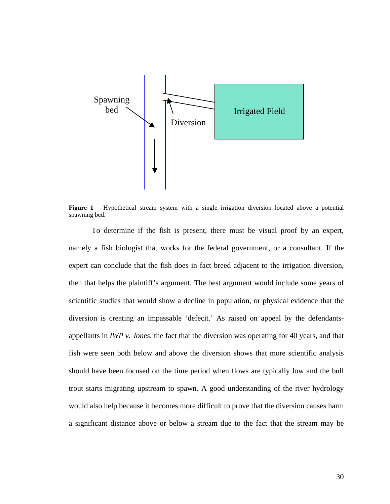

**Figure 1** – Hypothetical stream system with a single irrigation diversion located above a potential spawning bed.

To determine if the fish is present, there must be visual proof by an expert, namely a fish biologist that works for the federal government, or a consultant. If the expert can conclude that the fish does in fact breed adjacent to the irrigation diversion, then that helps the plaintiff's argument. The best argument would include some years of scientific studies that would show a decline in population, or physical evidence that the diversion is creating an impassable 'defecit.' As raised on appeal by the defendantsappellants in *IWP v. Jones*, the fact that the diversion was operating for 40 years, and that fish were seen both below and above the diversion shows that more scientific analysis should have been focused on the time period when flows are typically low and the bull trout starts migrating upstream to spawn. A good understanding of the river hydrology would also help because it becomes more difficult to prove that the diversion causes harm a significant distance above or below a stream due to the fact that the stream may be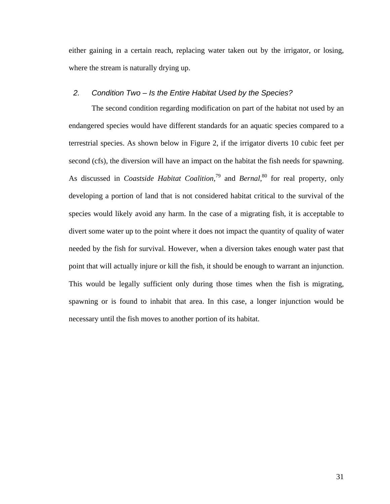either gaining in a certain reach, replacing water taken out by the irrigator, or losing, where the stream is naturally drying up.

#### *2. Condition Two – Is the Entire Habitat Used by the Species?*

<span id="page-37-1"></span><span id="page-37-0"></span>The second condition regarding modification on part of the habitat not used by an endangered species would have different standards for an aquatic species compared to a terrestrial species. As shown below in Figure 2, if the irrigator diverts 10 cubic feet per second (cfs), the diversion will have an impact on the habitat the fish needs for spawning. As discussed in *Coastside Habitat Coalition*, [79](#page-37-0) and *Bernal*, [80](#page-37-1) for real property, only developing a portion of land that is not considered habitat critical to the survival of the species would likely avoid any harm. In the case of a migrating fish, it is acceptable to divert some water up to the point where it does not impact the quantity of quality of water needed by the fish for survival. However, when a diversion takes enough water past that point that will actually injure or kill the fish, it should be enough to warrant an injunction. This would be legally sufficient only during those times when the fish is migrating, spawning or is found to inhabit that area. In this case, a longer injunction would be necessary until the fish moves to another portion of its habitat.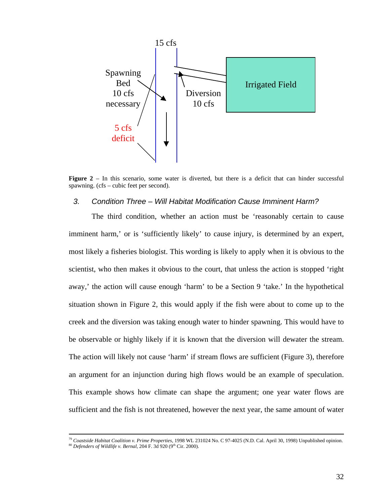

**Figure 2** – In this scenario, some water is diverted, but there is a deficit that can hinder successful spawning. (cfs – cubic feet per second).

#### *3. Condition Three – Will Habitat Modification Cause Imminent Harm?*

The third condition, whether an action must be 'reasonably certain to cause imminent harm,' or is 'sufficiently likely' to cause injury, is determined by an expert, most likely a fisheries biologist. This wording is likely to apply when it is obvious to the scientist, who then makes it obvious to the court, that unless the action is stopped 'right away,' the action will cause enough 'harm' to be a Section 9 'take.' In the hypothetical situation shown in Figure 2, this would apply if the fish were about to come up to the creek and the diversion was taking enough water to hinder spawning. This would have to be observable or highly likely if it is known that the diversion will dewater the stream. The action will likely not cause 'harm' if stream flows are sufficient (Figure 3), therefore an argument for an injunction during high flows would be an example of speculation. This example shows how climate can shape the argument; one year water flows are sufficient and the fish is not threatened, however the next year, the same amount of water

 <sup>79</sup> *Coastside Habitat Coalition v. Prime Properties*, 1998 WL 231024 No. C 97-4025 (N.D. Cal. April 30, 1998) Unpublished opinion.

 $^{80}$  *Defenders of Wildlife v. Bernal*, 204 F. 3d 920 (9<sup>th</sup> Cir. 2000).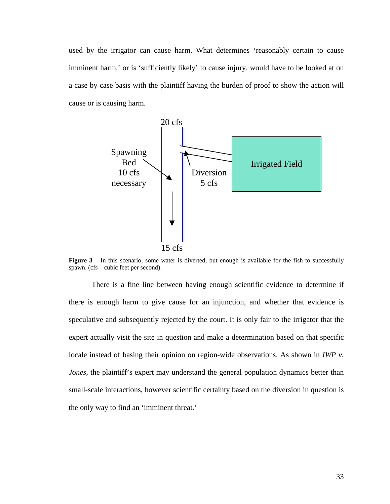used by the irrigator can cause harm. What determines 'reasonably certain to cause imminent harm,' or is 'sufficiently likely' to cause injury, would have to be looked at on a case by case basis with the plaintiff having the burden of proof to show the action will cause or is causing harm.



**Figure 3** – In this scenario, some water is diverted, but enough is available for the fish to successfully spawn. (cfs – cubic feet per second).

There is a fine line between having enough scientific evidence to determine if there is enough harm to give cause for an injunction, and whether that evidence is speculative and subsequently rejected by the court. It is only fair to the irrigator that the expert actually visit the site in question and make a determination based on that specific locale instead of basing their opinion on region-wide observations. As shown in *IWP v. Jones*, the plaintiff's expert may understand the general population dynamics better than small-scale interactions, however scientific certainty based on the diversion in question is the only way to find an 'imminent threat.'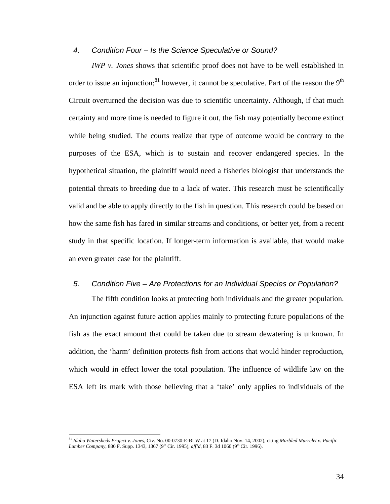## *4. Condition Four – Is the Science Speculative or Sound?*

*IWP v. Jones* shows that scientific proof does not have to be well established in order to issue an injunction;<sup>81</sup> however, it cannot be speculative. Part of the reason the 9<sup>th</sup> Circuit overturned the decision was due to scientific uncertainty. Although, if that much certainty and more time is needed to figure it out, the fish may potentially become extinct while being studied. The courts realize that type of outcome would be contrary to the purposes of the ESA, which is to sustain and recover endangered species. In the hypothetical situation, the plaintiff would need a fisheries biologist that understands the potential threats to breeding due to a lack of water. This research must be scientifically valid and be able to apply directly to the fish in question. This research could be based on how the same fish has fared in similar streams and conditions, or better yet, from a recent study in that specific location. If longer-term information is available, that would make an even greater case for the plaintiff.

# *5. Condition Five – Are Protections for an Individual Species or Population?*

The fifth condition looks at protecting both individuals and the greater population. An injunction against future action applies mainly to protecting future populations of the fish as the exact amount that could be taken due to stream dewatering is unknown. In addition, the 'harm' definition protects fish from actions that would hinder reproduction, which would in effect lower the total population. The influence of wildlife law on the ESA left its mark with those believing that a 'take' only applies to individuals of the

<span id="page-40-0"></span><sup>81</sup> *Idaho Watersheds Project v. Jones*, Civ. No. 00-0730-E-BLW at 17 (D. Idaho Nov. 14, 2002), citing *Marbled Murrelet v. Pacific Lumber Company*, 880 F. Supp. 1343, 1367 (9<sup>th</sup> Cir. 1995), *aff'd*, 83 F. 3d 1060 (9<sup>th</sup> Cir. 1996).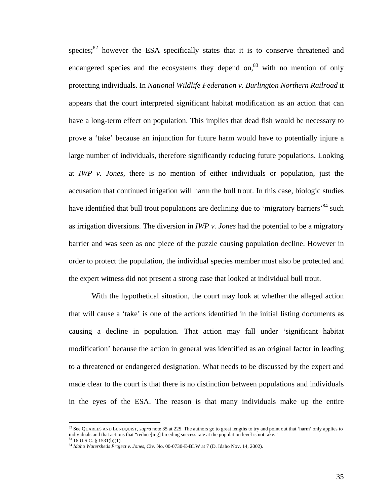species; $82$  however the ESA specifically states that it is to conserve threatened and endangered species and the ecosystems they depend on, $83$  with no mention of only protecting individuals. In *National Wildlife Federation v. Burlington Northern Railroad* it appears that the court interpreted significant habitat modification as an action that can have a long-term effect on population. This implies that dead fish would be necessary to prove a 'take' because an injunction for future harm would have to potentially injure a large number of individuals, therefore significantly reducing future populations. Looking at *IWP v. Jones*, there is no mention of either individuals or population, just the accusation that continued irrigation will harm the bull trout. In this case, biologic studies have identified that bull trout populations are declining due to 'migratory barriers'<sup>84</sup> such as irrigation diversions. The diversion in *IWP v. Jones* had the potential to be a migratory barrier and was seen as one piece of the puzzle causing population decline. However in order to protect the population, the individual species member must also be protected and the expert witness did not present a strong case that looked at individual bull trout.

With the hypothetical situation, the court may look at whether the alleged action that will cause a 'take' is one of the actions identified in the initial listing documents as causing a decline in population. That action may fall under 'significant habitat modification' because the action in general was identified as an original factor in leading to a threatened or endangered designation. What needs to be discussed by the expert and made clear to the court is that there is no distinction between populations and individuals in the eyes of the ESA. The reason is that many individuals make up the entire

<u>.</u>

<span id="page-41-0"></span><sup>&</sup>lt;sup>82</sup> See QUARLES AND LUNDQUIST, *supra* note 35 at 225. The authors go to great lengths to try and point out that 'harm' only applies to individuals and that actions that "reduce[ing] breeding success rate at the population level is not take."  $3 \text{ 16 U.S.C. }$  § 1531(b)(1).

<span id="page-41-2"></span><span id="page-41-1"></span><sup>84</sup> *Idaho Watersheds Project v. Jones*, Civ. No. 00-0730-E-BLW at 7 (D. Idaho Nov. 14, 2002).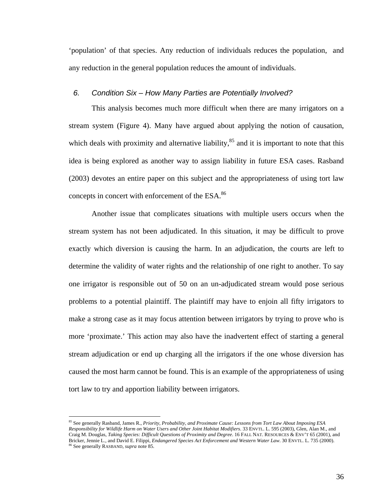'population' of that species. Any reduction of individuals reduces the population, and any reduction in the general population reduces the amount of individuals.

#### *6. Condition Six – How Many Parties are Potentially Involved?*

This analysis becomes much more difficult when there are many irrigators on a stream system (Figure 4). Many have argued about applying the notion of causation, which deals with proximity and alternative liability, $85$  and it is important to note that this idea is being explored as another way to assign liability in future ESA cases. Rasband (2003) devotes an entire paper on this subject and the appropriateness of using tort law concepts in concert with enforcement of the ESA.<sup>86</sup>

Another issue that complicates situations with multiple users occurs when the stream system has not been adjudicated. In this situation, it may be difficult to prove exactly which diversion is causing the harm. In an adjudication, the courts are left to determine the validity of water rights and the relationship of one right to another. To say one irrigator is responsible out of 50 on an un-adjudicated stream would pose serious problems to a potential plaintiff. The plaintiff may have to enjoin all fifty irrigators to make a strong case as it may focus attention between irrigators by trying to prove who is more 'proximate.' This action may also have the inadvertent effect of starting a general stream adjudication or end up charging all the irrigators if the one whose diversion has caused the most harm cannot be found. This is an example of the appropriateness of using tort law to try and apportion liability between irrigators.

<span id="page-42-1"></span><span id="page-42-0"></span><sup>85</sup> See generally Rasband, James R., *Priority, Probability, and Proximate Cause: Lessons from Tort Law About Imposing ESA Responsibility for Wildlife Harm on Water Users and Other Joint Habitat Modifiers*. 33 ENVTL. L. 595 (2003), Glen, Alan M., and Craig M. Douglas, *Taking Species: Difficult Questions of Proximity and Degree*. 16 FALL NAT. RESOURCES & ENV'T 65 (2001), and Bricker, Jennie L., and David E. Filippi, *Endangered Species Act Enforcement and Western Water Law*. 30 ENVTL. L. 735 (2000). 86 See generally RASBAND, *supra* note 85.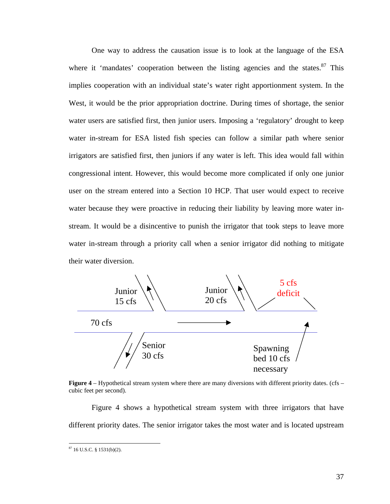One way to address the causation issue is to look at the language of the ESA where it 'mandates' cooperation between the listing agencies and the states. $87$  This implies cooperation with an individual state's water right apportionment system. In the West, it would be the prior appropriation doctrine. During times of shortage, the senior water users are satisfied first, then junior users. Imposing a 'regulatory' drought to keep water in-stream for ESA listed fish species can follow a similar path where senior irrigators are satisfied first, then juniors if any water is left. This idea would fall within congressional intent. However, this would become more complicated if only one junior user on the stream entered into a Section 10 HCP. That user would expect to receive water because they were proactive in reducing their liability by leaving more water instream. It would be a disincentive to punish the irrigator that took steps to leave more water in-stream through a priority call when a senior irrigator did nothing to mitigate their water diversion.





Figure 4 shows a hypothetical stream system with three irrigators that have different priority dates. The senior irrigator takes the most water and is located upstream

<span id="page-43-0"></span> $87$  16 U.S.C. § 1531(b)(2).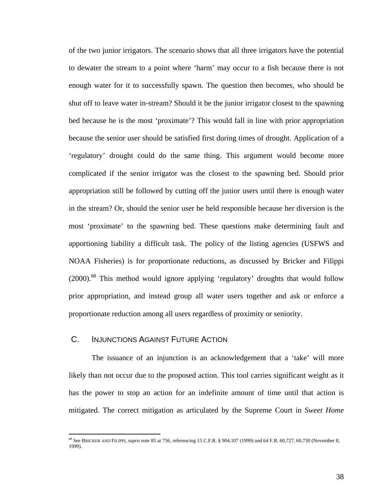of the two junior irrigators. The scenario shows that all three irrigators have the potential to dewater the stream to a point where 'harm' may occur to a fish because there is not enough water for it to successfully spawn. The question then becomes, who should be shut off to leave water in-stream? Should it be the junior irrigator closest to the spawning bed because he is the most 'proximate'? This would fall in line with prior appropriation because the senior user should be satisfied first during times of drought. Application of a 'regulatory' drought could do the same thing. This argument would become more complicated if the senior irrigator was the closest to the spawning bed. Should prior appropriation still be followed by cutting off the junior users until there is enough water in the stream? Or, should the senior user be held responsible because her diversion is the most 'proximate' to the spawning bed. These questions make determining fault and apportioning liability a difficult task. The policy of the listing agencies (USFWS and NOAA Fisheries) is for proportionate reductions, as discussed by Bricker and Filippi (2000).<sup>88</sup> This method would ignore applying 'regulatory' droughts that would follow prior appropriation, and instead group all water users together and ask or enforce a proportionate reduction among all users regardless of proximity or seniority.

# C. INJUNCTIONS AGAINST FUTURE ACTION

 $\overline{a}$ 

The issuance of an injunction is an acknowledgement that a 'take' will more likely than not occur due to the proposed action. This tool carries significant weight as it has the power to stop an action for an indefinite amount of time until that action is mitigated. The correct mitigation as articulated by the Supreme Court in *Sweet Home*

<span id="page-44-0"></span><sup>&</sup>lt;sup>88</sup> See BRICKER AND FILIPPI, *supra* note 85 at 756, referencing 15 C.F.R. § 904.107 (1999) and 64 F.R. 60,727, 60,730 (November 8, 1999).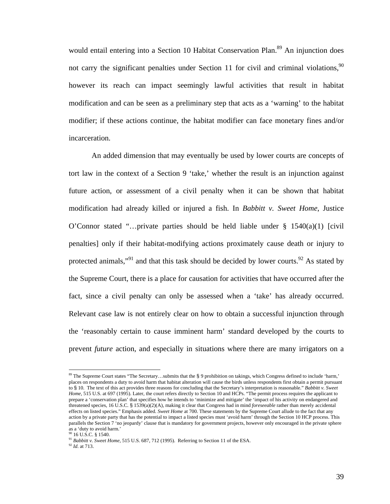would entail entering into a Section 10 Habitat Conservation Plan.<sup>89</sup> An injunction does not carry the significant penalties under Section 11 for civil and criminal violations,  $90$ however its reach can impact seemingly lawful activities that result in habitat modification and can be seen as a preliminary step that acts as a 'warning' to the habitat modifier; if these actions continue, the habitat modifier can face monetary fines and/or incarceration.

An added dimension that may eventually be used by lower courts are concepts of tort law in the context of a Section 9 'take,' whether the result is an injunction against future action, or assessment of a civil penalty when it can be shown that habitat modification had already killed or injured a fish. In *Babbitt v. Sweet Home*, Justice O'Connor stated "...private parties should be held liable under  $\S$  1540(a)(1) [civil penalties] only if their habitat-modifying actions proximately cause death or injury to protected animals,"<sup>91</sup> and that this task should be decided by lower courts.<sup>92</sup> As stated by the Supreme Court, there is a place for causation for activities that have occurred after the fact, since a civil penalty can only be assessed when a 'take' has already occurred. Relevant case law is not entirely clear on how to obtain a successful injunction through the 'reasonably certain to cause imminent harm' standard developed by the courts to prevent *future* action, and especially in situations where there are many irrigators on a

<span id="page-45-0"></span><sup>89</sup> The Supreme Court states "The Secretary...submits that the § 9 prohibition on takings, which Congress defined to include 'harm,' places on respondents a duty to avoid harm that habitat alteration will cause the birds unless respondents first obtain a permit pursuant to § 10. The text of this act provides three reasons for concluding that the Secretary's interpretation is reasonable." *Babbitt v. Sweet Home*, 515 U.S. at 697 (1995). Later, the court refers directly to Section 10 and HCPs. "The permit process requires the applicant to prepare a 'conservation plan' that specifies how he intends to 'minimize and mitigate' the 'impact of his activity on endangered and threatened species, 16 U.S.C. § 1539(a)(2)(A), making it clear that Congress had in mind *foreseeable* rather than merely accidental effects on listed species." Emphasis added. *Sweet Home* at 700. These statements by the Supreme Court allude to the fact that any action by a private party that has the potential to impact a listed species must 'avoid harm' through the Section 10 HCP process. This parallels the Section 7 'no jeopardy' clause that is mandatory for government projects, however only encouraged in the private sphere as a 'duty to avoid harm.' 90 16 U.S.C. § 1540.

<span id="page-45-1"></span>

<span id="page-45-2"></span><sup>&</sup>lt;sup>91</sup> Babbitt v. Sweet Home, 515 U.S. 687, 712 (1995). Referring to Section 11 of the ESA.

<span id="page-45-3"></span><sup>92</sup> *Id*. at 713.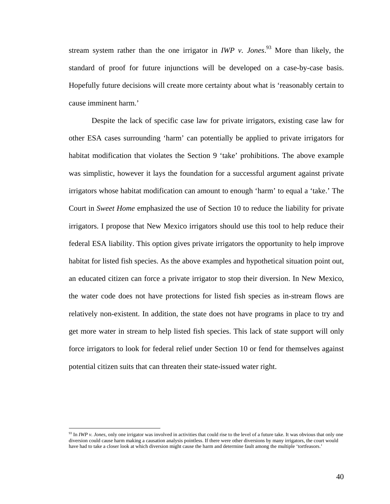stream system rather than the one irrigator in *IWP v. Jones*. [93](#page-46-0) More than likely, the standard of proof for future injunctions will be developed on a case-by-case basis. Hopefully future decisions will create more certainty about what is 'reasonably certain to cause imminent harm.'

Despite the lack of specific case law for private irrigators, existing case law for other ESA cases surrounding 'harm' can potentially be applied to private irrigators for habitat modification that violates the Section 9 'take' prohibitions. The above example was simplistic, however it lays the foundation for a successful argument against private irrigators whose habitat modification can amount to enough 'harm' to equal a 'take.' The Court in *Sweet Home* emphasized the use of Section 10 to reduce the liability for private irrigators. I propose that New Mexico irrigators should use this tool to help reduce their federal ESA liability. This option gives private irrigators the opportunity to help improve habitat for listed fish species. As the above examples and hypothetical situation point out, an educated citizen can force a private irrigator to stop their diversion. In New Mexico, the water code does not have protections for listed fish species as in-stream flows are relatively non-existent. In addition, the state does not have programs in place to try and get more water in stream to help listed fish species. This lack of state support will only force irrigators to look for federal relief under Section 10 or fend for themselves against potential citizen suits that can threaten their state-issued water right.

<span id="page-46-0"></span><sup>&</sup>lt;sup>93</sup> In *IWP v. Jones*, only one irrigator was involved in activities that could rise to the level of a future take. It was obvious that only one diversion could cause harm making a causation analysis pointless. If there were other diversions by many irrigators, the court would have had to take a closer look at which diversion might cause the harm and determine fault among the multiple 'tortfeasors.'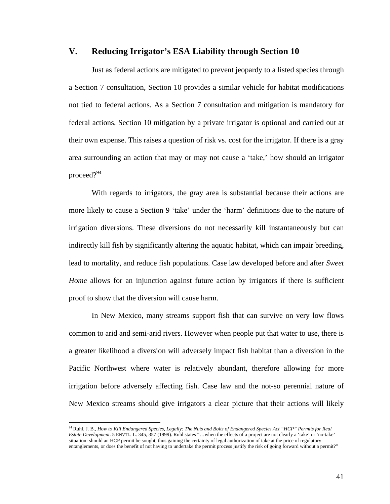# **V. Reducing Irrigator's ESA Liability through Section 10**

Just as federal actions are mitigated to prevent jeopardy to a listed species through a Section 7 consultation, Section 10 provides a similar vehicle for habitat modifications not tied to federal actions. As a Section 7 consultation and mitigation is mandatory for federal actions, Section 10 mitigation by a private irrigator is optional and carried out at their own expense. This raises a question of risk vs. cost for the irrigator. If there is a gray area surrounding an action that may or may not cause a 'take,' how should an irrigator proceed?<sup>94</sup>

With regards to irrigators, the gray area is substantial because their actions are more likely to cause a Section 9 'take' under the 'harm' definitions due to the nature of irrigation diversions. These diversions do not necessarily kill instantaneously but can indirectly kill fish by significantly altering the aquatic habitat, which can impair breeding, lead to mortality, and reduce fish populations. Case law developed before and after *Sweet Home* allows for an injunction against future action by irrigators if there is sufficient proof to show that the diversion will cause harm.

In New Mexico, many streams support fish that can survive on very low flows common to arid and semi-arid rivers. However when people put that water to use, there is a greater likelihood a diversion will adversely impact fish habitat than a diversion in the Pacific Northwest where water is relatively abundant, therefore allowing for more irrigation before adversely affecting fish. Case law and the not-so perennial nature of New Mexico streams should give irrigators a clear picture that their actions will likely

<span id="page-47-0"></span><sup>94</sup> Ruhl, J. B., *How to Kill Endangered Species, Legally: The Nuts and Bolts of Endangered Species Act "HCP" Permits for Real Estate Development*. 5 ENVTL. L. 345, 357 (1999). Ruhl states "…when the effects of a project are not clearly a 'take' or 'no-take' situation: should an HCP permit be sought, thus gaining the certainty of legal authorization of take at the price of regulatory entanglements, or does the benefit of not having to undertake the permit process justify the risk of going forward without a permit?"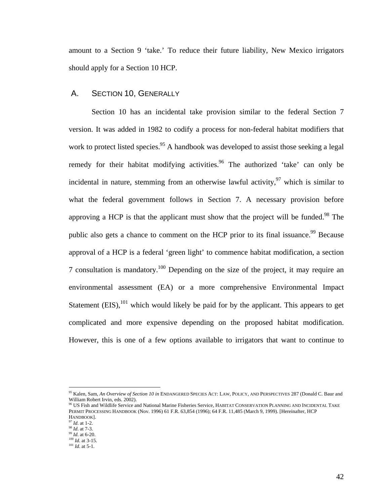amount to a Section 9 'take.' To reduce their future liability, New Mexico irrigators should apply for a Section 10 HCP.

# A. SECTION 10, GENERALLY

Section 10 has an incidental take provision similar to the federal Section 7 version. It was added in 1982 to codify a process for non-federal habitat modifiers that work to protect listed species.<sup>95</sup> A handbook was developed to assist those seeking a legal remedy for their habitat modifying activities.<sup>96</sup> The authorized 'take' can only be incidental in nature, stemming from an otherwise lawful activity,  $97$  which is similar to what the federal government follows in Section 7. A necessary provision before approving a HCP is that the applicant must show that the project will be funded.<sup>98</sup> The public also gets a chance to comment on the HCP prior to its final issuance.<sup>99</sup> Because approval of a HCP is a federal 'green light' to commence habitat modification, a section 7 consultation is mandatory.<sup>100</sup> Depending on the size of the project, it may require an environmental assessment (EA) or a more comprehensive Environmental Impact Statement  $(EIS)$ ,<sup>101</sup> which would likely be paid for by the applicant. This appears to get complicated and more expensive depending on the proposed habitat modification. However, this is one of a few options available to irrigators that want to continue to

<span id="page-48-0"></span><sup>95</sup> Kalen, Sam, *An Overview of Section 10 in* ENDANGERED SPECIES ACT: LAW, POLICY, AND PERSPECTIVES 287 (Donald C. Baur and William Robert Irvin, eds. 2002).<br><sup>96</sup> US Fish and Wildlife Service and National Marine Fisheries Service. HABITAT CONSERVATION PLANNING AND INCIDENTAL TAKE

<span id="page-48-1"></span>PERMIT PROCESSING HANDBOOK (Nov. 1996) 61 F.R. 63,854 (1996); 64 F.R. 11,485 (March 9, 1999). [Hereinafter, HCP HANDBOOK].

<span id="page-48-2"></span><sup>97</sup> *Id*. at 1-2.

<span id="page-48-3"></span><sup>98</sup> *Id*. at 7-3.

<span id="page-48-4"></span><sup>99</sup> *Id*. at 6-20.

<span id="page-48-5"></span> $\frac{100}{100}$  *Id.* at 3-15.

<span id="page-48-6"></span> $\frac{101}{1}$  *Id.* at 5-1.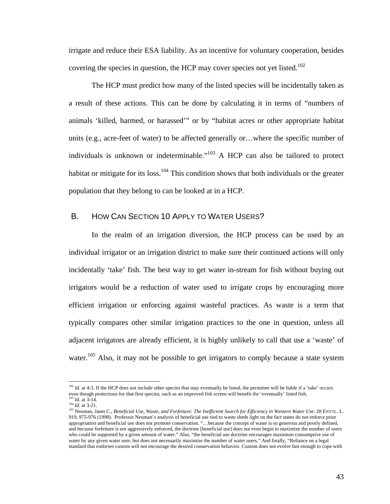<span id="page-49-3"></span>irrigate and reduce their ESA liability. As an incentive for voluntary cooperation, besides covering the species in question, the HCP may cover species not yet listed.<sup>102</sup>

The HCP must predict how many of the listed species will be incidentally taken as a result of these actions. This can be done by calculating it in terms of "numbers of animals 'killed, harmed, or harassed'" or by "habitat acres or other appropriate habitat units (e.g., acre-feet of water) to be affected generally or…where the specific number of individuals is unknown or indeterminable."<sup>103</sup> A HCP can also be tailored to protect habitat or mitigate for its loss.<sup>104</sup> This condition shows that both individuals or the greater population that they belong to can be looked at in a HCP.

# B. HOW CAN SECTION 10 APPLY TO WATER USERS?

In the realm of an irrigation diversion, the HCP process can be used by an individual irrigator or an irrigation district to make sure their continued actions will only incidentally 'take' fish. The best way to get water in-stream for fish without buying out irrigators would be a reduction of water used to irrigate crops by encouraging more efficient irrigation or enforcing against wasteful practices. As waste is a term that typically compares other similar irrigation practices to the one in question, unless all adjacent irrigators are already efficient, it is highly unlikely to call that use a 'waste' of water.<sup>105</sup> Also, it may not be possible to get irrigators to comply because a state system

<span id="page-49-0"></span><sup>&</sup>lt;sup>102</sup> *Id.* at 4-3. If the HCP does not include other species that may eventually be listed, the permittee will be liable if a 'take' occurs even though protections for that first species, such as an improved fish screen will benefit the 'eventually' listed fish. <sup>103</sup> *Id.* at 3-14.

<span id="page-49-2"></span><span id="page-49-1"></span><sup>104</sup> *Id*. at 3-21.

<sup>105</sup> Neuman, Janet C., *Beneficial Use, Waste, and Forfeiture: The Inefficient Search for Efficiency in Western Water Use*. 28 ENVTL. L. 919, 975-976 (1998). Professor Neuman's analysis of beneficial use tied to waste sheds light on the fact states do not enforce prior appropriation and beneficial use does not promote conservation. "…because the concept of waste is so generous and poorly defined, and because forfeiture is not aggressively enforced, the doctrine [beneficial use] does not even begin to maximize the number of users who could be supported by a given amount of water." Also, "the beneficial use doctrine encourages maximum consumptive use of water by any given water user, but does not necessarily maximize the number of water users." And finally, "Reliance on a legal standard that endorses custom will not encourage the desired conservation behavior. Custom does not evolve fast enough to cope with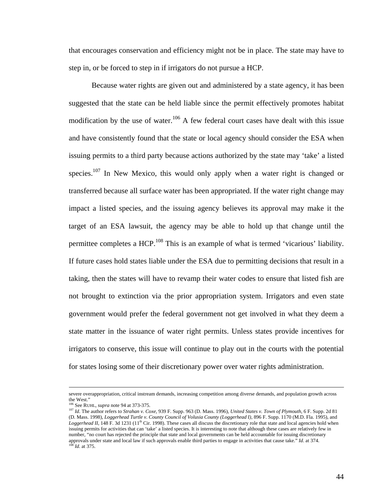that encourages conservation and efficiency might not be in place. The state may have to step in, or be forced to step in if irrigators do not pursue a HCP.

Because water rights are given out and administered by a state agency, it has been suggested that the state can be held liable since the permit effectively promotes habitat modification by the use of water.<sup>106</sup> A few federal court cases have dealt with this issue and have consistently found that the state or local agency should consider the ESA when issuing permits to a third party because actions authorized by the state may 'take' a listed species.<sup>107</sup> In New Mexico, this would only apply when a water right is changed or transferred because all surface water has been appropriated. If the water right change may impact a listed species, and the issuing agency believes its approval may make it the target of an ESA lawsuit, the agency may be able to hold up that change until the permittee completes a HCP.<sup>108</sup> This is an example of what is termed 'vicarious' liability. If future cases hold states liable under the ESA due to permitting decisions that result in a taking, then the states will have to revamp their water codes to ensure that listed fish are not brought to extinction via the prior appropriation system. Irrigators and even state government would prefer the federal government not get involved in what they deem a state matter in the issuance of water right permits. Unless states provide incentives for irrigators to conserve, this issue will continue to play out in the courts with the potential for states losing some of their discretionary power over water rights administration.

severe overappropriation, critical instream demands, increasing competition among diverse demands, and population growth across the West."

<span id="page-50-0"></span><sup>106</sup> See RUHL, *supra* note 94 at 373-375.

<span id="page-50-2"></span><span id="page-50-1"></span><sup>107</sup> *Id*. The author refers to *Strahan v. Coxe*, 939 F. Supp. 963 (D. Mass. 1996), *United States v. Town of Plymouth*, 6 F. Supp. 2d 81 (D. Mass. 1998), *Loggerhead Turtle v. County Council of Volusia County (Loggerhead I)*, 896 F. Supp. 1170 (M.D. Fla. 1995), and *Loggerhead II*, 148 F. 3d 1231 (11<sup>th</sup> Cir. 1998). These cases all discuss the discretionary role that state and local agencies hold when issuing permits for activities that can 'take' a listed species. It is interesting to note that although these cases are relatively few in number, "no court has rejected the principle that state and local governments can be held accountable for issuing discretionary approvals under state and local law if such approvals enable third parties to engage in activities that cause take." *Id*. at 374. <sup>108</sup> *Id*. at 375.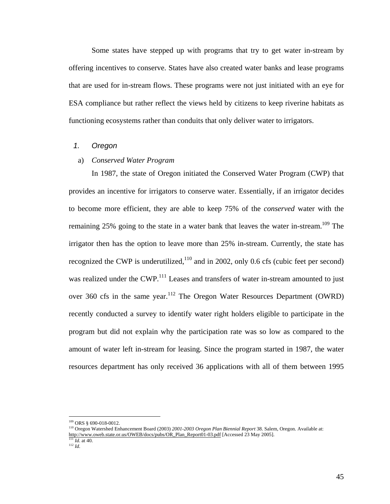Some states have stepped up with programs that try to get water in-stream by offering incentives to conserve. States have also created water banks and lease programs that are used for in-stream flows. These programs were not just initiated with an eye for ESA compliance but rather reflect the views held by citizens to keep riverine habitats as functioning ecosystems rather than conduits that only deliver water to irrigators.

# *1. Oregon*

# a) *Conserved Water Program*

In 1987, the state of Oregon initiated the Conserved Water Program (CWP) that provides an incentive for irrigators to conserve water. Essentially, if an irrigator decides to become more efficient, they are able to keep 75% of the *conserved* water with the remaining 25% going to the state in a water bank that leaves the water in-stream.<sup>109</sup> The irrigator then has the option to leave more than 25% in-stream. Currently, the state has recognized the CWP is underutilized, $110$  and in 2002, only 0.6 cfs (cubic feet per second) was realized under the CWP.<sup>111</sup> Leases and transfers of water in-stream amounted to just over 360 cfs in the same year.<sup>112</sup> The Oregon Water Resources Department (OWRD) recently conducted a survey to identify water right holders eligible to participate in the program but did not explain why the participation rate was so low as compared to the amount of water left in-stream for leasing. Since the program started in 1987, the water resources department has only received 36 applications with all of them between 1995

<span id="page-51-0"></span><sup>&</sup>lt;sup>109</sup> ORS § 690-018-0012.

<span id="page-51-1"></span><sup>110</sup> Oregon Watershed Enhancement Board (2003) *2001-2003 Oregon Plan Biennial Report* 38. Salem, Oregon. Available at: [http://www.oweb.state.or.us/OWEB/docs/pubs/OR\\_Plan\\_Report01-03.pdf](http://www.oweb.state.or.us/OWEB/docs/pubs/OR_Plan_Report01-03.pdf) [Accessed 23 May 2005].

<span id="page-51-2"></span> $111$  *Id.* at 40.

<span id="page-51-3"></span><sup>112</sup> *Id*.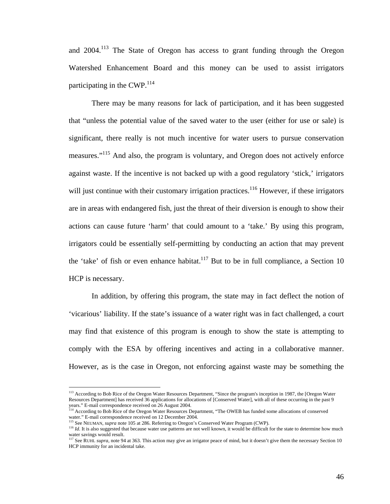and 2004.<sup>113</sup> The State of Oregon has access to grant funding through the Oregon Watershed Enhancement Board and this money can be used to assist irrigators participating in the CWP. $^{114}$  $^{114}$  $^{114}$ 

There may be many reasons for lack of participation, and it has been suggested that "unless the potential value of the saved water to the user (either for use or sale) is significant, there really is not much incentive for water users to pursue conservation measures."<sup>115</sup> And also, the program is voluntary, and Oregon does not actively enforce against waste. If the incentive is not backed up with a good regulatory 'stick,' irrigators will just continue with their customary irrigation practices.<sup>116</sup> However, if these irrigators are in areas with endangered fish, just the threat of their diversion is enough to show their actions can cause future 'harm' that could amount to a 'take.' By using this program, irrigators could be essentially self-permitting by conducting an action that may prevent the 'take' of fish or even enhance habitat.<sup>117</sup> But to be in full compliance, a Section 10 HCP is necessary.

In addition, by offering this program, the state may in fact deflect the notion of 'vicarious' liability. If the state's issuance of a water right was in fact challenged, a court may find that existence of this program is enough to show the state is attempting to comply with the ESA by offering incentives and acting in a collaborative manner. However, as is the case in Oregon, not enforcing against waste may be something the

<span id="page-52-0"></span><sup>&</sup>lt;sup>113</sup> According to Bob Rice of the Oregon Water Resources Department, "Since the program's inception in 1987, the [Oregon Water Resources Department] has received 36 applications for allocations of [Conserved Water], with all of these occurring in the past 9 years." E-mail correspondence received on 26 August 2004.<br><sup>114</sup> According to Bob Rice of the Oregon Water Resources Department, "The OWEB has funded some allocations of conserved

<span id="page-52-1"></span>water." E-mail correspondence received on 12 December 2004.<br>
<sup>115</sup> See NEUMAN, *supra* note 105 at 286. Referring to Oregon's Conserved Water Program (CWP).

<span id="page-52-2"></span>

<span id="page-52-3"></span><sup>&</sup>lt;sup>116</sup> *Id*. It is also suggested that because water use patterns are not well known, it would be difficult for the state to determine how much water savings would result.

<span id="page-52-4"></span><sup>&</sup>lt;sup>117</sup> See RUHL *supra*, note 94 at 363. This action may give an irrigator peace of mind, but it doesn't give them the necessary Section 10 HCP immunity for an incidental take.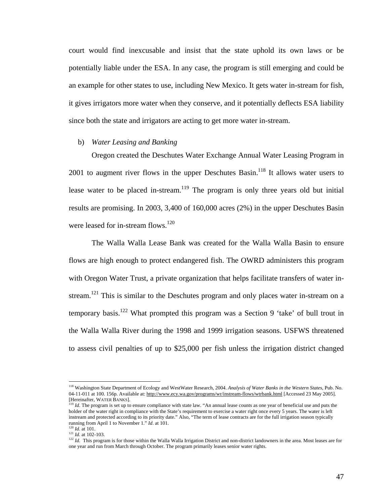court would find inexcusable and insist that the state uphold its own laws or be potentially liable under the ESA. In any case, the program is still emerging and could be an example for other states to use, including New Mexico. It gets water in-stream for fish, it gives irrigators more water when they conserve, and it potentially deflects ESA liability since both the state and irrigators are acting to get more water in-stream.

#### b) *Water Leasing and Banking*

Oregon created the Deschutes Water Exchange Annual Water Leasing Program in 2001 to augment river flows in the upper Deschutes Basin.<sup>118</sup> It allows water users to lease water to be placed in-stream.<sup>119</sup> The program is only three years old but initial results are promising. In 2003, 3,400 of 160,000 acres (2%) in the upper Deschutes Basin were leased for in-stream flows.<sup>[120](#page-53-2)</sup>

The Walla Walla Lease Bank was created for the Walla Walla Basin to ensure flows are high enough to protect endangered fish. The OWRD administers this program with Oregon Water Trust, a private organization that helps facilitate transfers of water instream.<sup>121</sup> This is similar to the Deschutes program and only places water in-stream on a temporary basis.<sup>122</sup> What prompted this program was a Section 9 'take' of bull trout in the Walla Walla River during the 1998 and 1999 irrigation seasons. USFWS threatened to assess civil penalties of up to \$25,000 per fish unless the irrigation district changed

<span id="page-53-0"></span><sup>118</sup> Washington State Department of Ecology and WestWater Research, 2004. *Analysis of Water Banks in the Western States*, Pub. No. 04-11-011 at 100. 156p. Available at:<http://www.ecy.wa.gov/programs/wr/instream-flows/wtrbank.html> [Accessed 23 May 2005]. [Hereinafter, WATER BANKS]. 119 *Id*. The program is set up to ensure compliance with state law. "An annual lease counts as one year of beneficial use and puts the

<span id="page-53-1"></span>holder of the water right in compliance with the State's requirement to exercise a water right once every 5 years. The water is left instream and protected according to its priority date." Also, "The term of lease contracts are for the full irrigation season typically running from April 1 to November 1." *Id*. at 101.

<span id="page-53-2"></span> $120$  *Id.* at 101. <sup>121</sup> *Id*. at 102-103.

<span id="page-53-4"></span><span id="page-53-3"></span><sup>&</sup>lt;sup>122</sup> *Id*. This program is for those within the Walla Walla Irrigation District and non-district landowners in the area. Most leases are for one year and run from March through October. The program primarily leases senior water rights.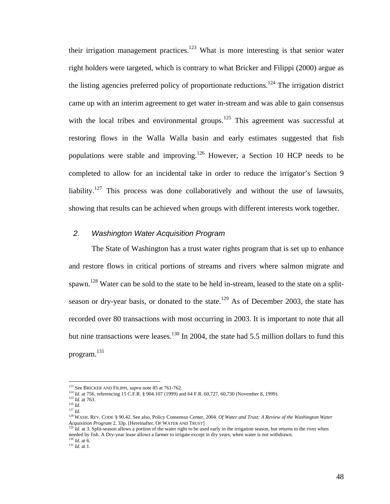their irrigation management practices.<sup>123</sup> What is more interesting is that senior water right holders were targeted, which is contrary to what Bricker and Filippi (2000) argue as the listing agencies preferred policy of proportionate reductions.<sup>124</sup> The irrigation district came up with an interim agreement to get water in-stream and was able to gain consensus with the local tribes and environmental groups.<sup>125</sup> This agreement was successful at restoring flows in the Walla Walla basin and early estimates suggested that fish populations were stable and improving[.126](#page-54-3) However, a Section 10 HCP needs to be completed to allow for an incidental take in order to reduce the irrigator's Section 9 liability.<sup>127</sup> This process was done collaboratively and without the use of lawsuits, showing that results can be achieved when groups with different interests work together.

### *2. Washington Water Acquisition Program*

The State of Washington has a trust water rights program that is set up to enhance and restore flows in critical portions of streams and rivers where salmon migrate and spawn.<sup>128</sup> Water can be sold to the state to be held in-stream, leased to the state on a splitseason or dry-year basis, or donated to the state.<sup>129</sup> As of December 2003, the state has recorded over 80 transactions with most occurring in 2003. It is important to note that all but nine transactions were leases.<sup>130</sup> In 2004, the state had 5.5 million dollars to fund this program. [131](#page-54-8) 

<span id="page-54-0"></span><sup>123</sup> See BRICKER AND FILIPPI, *supra* note 85 at 761-762.

<span id="page-54-1"></span><sup>&</sup>lt;sup>124</sup> *Id.* at 756, referencing 15 C.F.R. § 904.107 (1999) and 64 F.R. 60,727, 60,730 (November 8, 1999).

<span id="page-54-2"></span> $\frac{125}{126}$  *Id.* at 763.

<span id="page-54-5"></span><span id="page-54-4"></span><span id="page-54-3"></span>

<sup>&</sup>lt;sup>127</sup> *Id.* 127 *Id.* 128 *Id.* 128 CODE § 90.42. See also, Policy Consensus Center, 2004. *Of Water and Trust: A Review of the Washington Water Acquisition Program 2.* 33p. [Hereinafter, OF WATER AND TRUST]

<span id="page-54-6"></span> $A^{129}$  *Id.* at 3. Split-season allows a portion of the water right to be used early in the irrigation season, but returns to the river when needed by fish. A Dry-year lease allows a farmer to irrigate except in dry years, when water is not withdrawn. <sup>130</sup> *Id*. at 6.

<span id="page-54-8"></span><span id="page-54-7"></span><sup>131</sup> *Id*. at 1.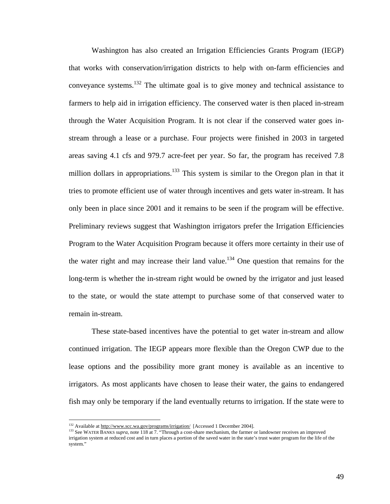Washington has also created an Irrigation Efficiencies Grants Program (IEGP) that works with conservation/irrigation districts to help with on-farm efficiencies and conveyance systems.[132](#page-55-0) The ultimate goal is to give money and technical assistance to farmers to help aid in irrigation efficiency. The conserved water is then placed in-stream through the Water Acquisition Program. It is not clear if the conserved water goes instream through a lease or a purchase. Four projects were finished in 2003 in targeted areas saving 4.1 cfs and 979.7 acre-feet per year. So far, the program has received 7.8 million dollars in appropriations.<sup>133</sup> This system is similar to the Oregon plan in that it tries to promote efficient use of water through incentives and gets water in-stream. It has only been in place since 2001 and it remains to be seen if the program will be effective. Preliminary reviews suggest that Washington irrigators prefer the Irrigation Efficiencies Program to the Water Acquisition Program because it offers more certainty in their use of the water right and may increase their land value.<sup>134</sup> One question that remains for the long-term is whether the in-stream right would be owned by the irrigator and just leased to the state, or would the state attempt to purchase some of that conserved water to remain in-stream.

These state-based incentives have the potential to get water in-stream and allow continued irrigation. The IEGP appears more flexible than the Oregon CWP due to the lease options and the possibility more grant money is available as an incentive to irrigators. As most applicants have chosen to lease their water, the gains to endangered fish may only be temporary if the land eventually returns to irrigation. If the state were to

<u>.</u>

<span id="page-55-0"></span><sup>&</sup>lt;sup>132</sup> Available at<http://www.scc.wa.gov/programs/irrigation/> [Accessed 1 December 2004].

<span id="page-55-2"></span><span id="page-55-1"></span><sup>&</sup>lt;sup>133</sup> See WATER BANKS *supra*, note 118 at 7. "Through a cost-share mechanism, the farmer or landowner receives an improved irrigation system at reduced cost and in turn places a portion of the saved water in the state's trust water program for the life of the system."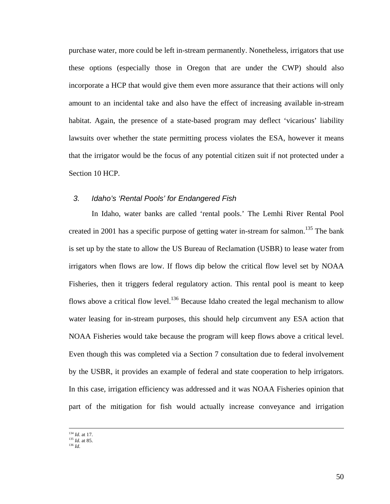purchase water, more could be left in-stream permanently. Nonetheless, irrigators that use these options (especially those in Oregon that are under the CWP) should also incorporate a HCP that would give them even more assurance that their actions will only amount to an incidental take and also have the effect of increasing available in-stream habitat. Again, the presence of a state-based program may deflect 'vicarious' liability lawsuits over whether the state permitting process violates the ESA, however it means that the irrigator would be the focus of any potential citizen suit if not protected under a Section 10 HCP.

## *3. Idaho's 'Rental Pools' for Endangered Fish*

In Idaho, water banks are called 'rental pools.' The Lemhi River Rental Pool created in 2001 has a specific purpose of getting water in-stream for salmon.<sup>135</sup> The bank is set up by the state to allow the US Bureau of Reclamation (USBR) to lease water from irrigators when flows are low. If flows dip below the critical flow level set by NOAA Fisheries, then it triggers federal regulatory action. This rental pool is meant to keep flows above a critical flow level.<sup>136</sup> Because Idaho created the legal mechanism to allow water leasing for in-stream purposes, this should help circumvent any ESA action that NOAA Fisheries would take because the program will keep flows above a critical level. Even though this was completed via a Section 7 consultation due to federal involvement by the USBR, it provides an example of federal and state cooperation to help irrigators. In this case, irrigation efficiency was addressed and it was NOAA Fisheries opinion that part of the mitigation for fish would actually increase conveyance and irrigation

 <sup>134</sup> *Id*. at 17.

<span id="page-56-0"></span><sup>135</sup> *Id*. at 85.

<span id="page-56-1"></span><sup>136</sup> *Id*.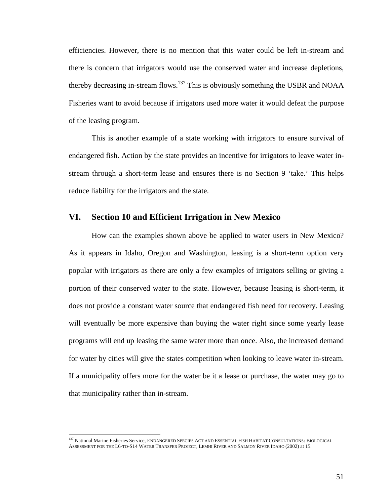efficiencies. However, there is no mention that this water could be left in-stream and there is concern that irrigators would use the conserved water and increase depletions, thereby decreasing in-stream flows.<sup>137</sup> This is obviously something the USBR and NOAA Fisheries want to avoid because if irrigators used more water it would defeat the purpose of the leasing program.

This is another example of a state working with irrigators to ensure survival of endangered fish. Action by the state provides an incentive for irrigators to leave water instream through a short-term lease and ensures there is no Section 9 'take.' This helps reduce liability for the irrigators and the state.

# **VI. Section 10 and Efficient Irrigation in New Mexico**

How can the examples shown above be applied to water users in New Mexico? As it appears in Idaho, Oregon and Washington, leasing is a short-term option very popular with irrigators as there are only a few examples of irrigators selling or giving a portion of their conserved water to the state. However, because leasing is short-term, it does not provide a constant water source that endangered fish need for recovery. Leasing will eventually be more expensive than buying the water right since some yearly lease programs will end up leasing the same water more than once. Also, the increased demand for water by cities will give the states competition when looking to leave water in-stream. If a municipality offers more for the water be it a lease or purchase, the water may go to that municipality rather than in-stream.

<span id="page-57-0"></span><sup>137</sup> National Marine Fisheries Service, ENDANGERED SPECIES ACT AND ESSENTIAL FISH HABITAT CONSULTATIONS: BIOLOGICAL ASSESSMENT FOR THE L6-TO-S14 WATER TRANSFER PROJECT, LEMHI RIVER AND SALMON RIVER IDAHO (2002) at 15.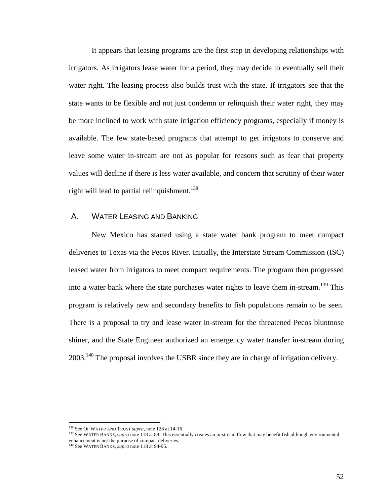It appears that leasing programs are the first step in developing relationships with irrigators. As irrigators lease water for a period, they may decide to eventually sell their water right. The leasing process also builds trust with the state. If irrigators see that the state wants to be flexible and not just condemn or relinquish their water right, they may be more inclined to work with state irrigation efficiency programs, especially if money is available. The few state-based programs that attempt to get irrigators to conserve and leave some water in-stream are not as popular for reasons such as fear that property values will decline if there is less water available, and concern that scrutiny of their water right will lead to partial relinquishment.<sup>138</sup>

# A. WATER LEASING AND BANKING

New Mexico has started using a state water bank program to meet compact deliveries to Texas via the Pecos River. Initially, the Interstate Stream Commission (ISC) leased water from irrigators to meet compact requirements. The program then progressed into a water bank where the state purchases water rights to leave them in-stream.<sup>139</sup> This program is relatively new and secondary benefits to fish populations remain to be seen. There is a proposal to try and lease water in-stream for the threatened Pecos bluntnose shiner, and the State Engineer authorized an emergency water transfer in-stream during 2003.<sup>140</sup> The proposal involves the USBR since they are in charge of irrigation delivery.

<u>.</u>

<span id="page-58-0"></span><sup>138</sup> See OF WATER AND TRUST *supra*, note 128 at 14-16.

<span id="page-58-1"></span><sup>&</sup>lt;sup>139</sup> See WATER BANKS, supra note 118 at 88. This essentially creates an in-stream flow that may benefit fish although environmental enhancement is not the purpose of compact deliveries.

<span id="page-58-2"></span><sup>140</sup> See WATER BANKS, *supra* note 118 at 94-95.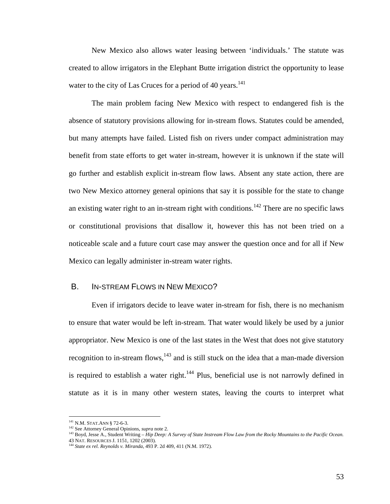New Mexico also allows water leasing between 'individuals.' The statute was created to allow irrigators in the Elephant Butte irrigation district the opportunity to lease water to the city of Las Cruces for a period of 40 years.<sup>141</sup>

The main problem facing New Mexico with respect to endangered fish is the absence of statutory provisions allowing for in-stream flows. Statutes could be amended, but many attempts have failed. Listed fish on rivers under compact administration may benefit from state efforts to get water in-stream, however it is unknown if the state will go further and establish explicit in-stream flow laws. Absent any state action, there are two New Mexico attorney general opinions that say it is possible for the state to change an existing water right to an in-stream right with conditions.<sup>142</sup> There are no specific laws or constitutional provisions that disallow it, however this has not been tried on a noticeable scale and a future court case may answer the question once and for all if New Mexico can legally administer in-stream water rights.

# B. IN-STREAM FLOWS IN NEW MEXICO?

Even if irrigators decide to leave water in-stream for fish, there is no mechanism to ensure that water would be left in-stream. That water would likely be used by a junior appropriator. New Mexico is one of the last states in the West that does not give statutory recognition to in-stream flows, $143$  and is still stuck on the idea that a man-made diversion is required to establish a water right.<sup>144</sup> Plus, beneficial use is not narrowly defined in statute as it is in many other western states, leaving the courts to interpret what

<span id="page-59-0"></span><sup>&</sup>lt;sup>141</sup> N.M. STAT. ANN § 72-6-3.

<span id="page-59-1"></span><sup>142</sup> See Attorney General Opinions, *supra* note 2.

<span id="page-59-2"></span><sup>&</sup>lt;sup>143</sup> Boyd, Jesse A., Student Writing – *Hip Deep: A Survey of State Instream Flow Law from the Rocky Mountains to the Pacific Ocean.* 43 NAT. RESOURCES J. 1151, 1202 (2003).

<span id="page-59-3"></span><sup>144</sup> *State ex rel. Reynolds v. Miranda*, 493 P. 2d 409, 411 (N.M. 1972).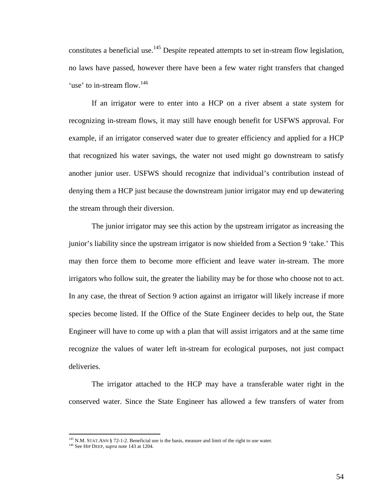constitutes a beneficial use.<sup>145</sup> Despite repeated attempts to set in-stream flow legislation, no laws have passed, however there have been a few water right transfers that changed 'use' to in-stream flow.<sup>[146](#page-60-1)</sup>

If an irrigator were to enter into a HCP on a river absent a state system for recognizing in-stream flows, it may still have enough benefit for USFWS approval. For example, if an irrigator conserved water due to greater efficiency and applied for a HCP that recognized his water savings, the water not used might go downstream to satisfy another junior user. USFWS should recognize that individual's contribution instead of denying them a HCP just because the downstream junior irrigator may end up dewatering the stream through their diversion.

The junior irrigator may see this action by the upstream irrigator as increasing the junior's liability since the upstream irrigator is now shielded from a Section 9 'take.' This may then force them to become more efficient and leave water in-stream. The more irrigators who follow suit, the greater the liability may be for those who choose not to act. In any case, the threat of Section 9 action against an irrigator will likely increase if more species become listed. If the Office of the State Engineer decides to help out, the State Engineer will have to come up with a plan that will assist irrigators and at the same time recognize the values of water left in-stream for ecological purposes, not just compact deliveries.

The irrigator attached to the HCP may have a transferable water right in the conserved water. Since the State Engineer has allowed a few transfers of water from

<span id="page-60-0"></span><sup>&</sup>lt;sup>145</sup> N.M. STAT.ANN § 72-1-2. Beneficial use is the basis, measure and limit of the right to use water.

<span id="page-60-1"></span><sup>146</sup> See HIP DEEP, *supra* note 143 at 1204.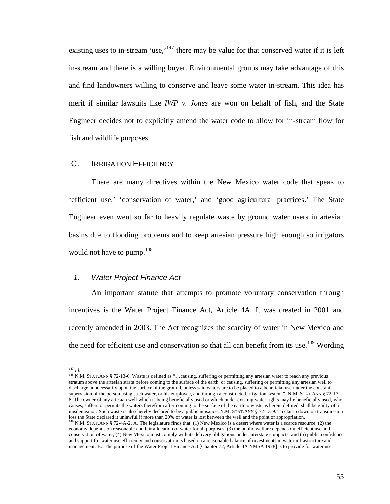<span id="page-61-2"></span>existing uses to in-stream 'use,'<sup>147</sup> there may be value for that conserved water if it is left in-stream and there is a willing buyer. Environmental groups may take advantage of this and find landowners willing to conserve and leave some water in-stream. This idea has merit if similar lawsuits like *IWP v. Jones* are won on behalf of fish, and the State Engineer decides not to explicitly amend the water code to allow for in-stream flow for fish and wildlife purposes.

#### C. IRRIGATION EFFICIENCY

There are many directives within the New Mexico water code that speak to 'efficient use,' 'conservation of water,' and 'good agricultural practices.' The State Engineer even went so far to heavily regulate waste by ground water users in artesian basins due to flooding problems and to keep artesian pressure high enough so irrigators would not have to pump.<sup>[148](#page-61-1)</sup>

# *1. Water Project Finance Act*

An important statute that attempts to promote voluntary conservation through incentives is the Water Project Finance Act, Article 4A. It was created in 2001 and recently amended in 2003. The Act recognizes the scarcity of water in New Mexico and the need for efficient use and conservation so that all can benefit from its use.<sup>149</sup> Wording

<span id="page-61-0"></span> $147$   $Id.$ 

<span id="page-61-1"></span><sup>&</sup>lt;sup>148</sup> N.M. STAT.ANN § 72-13-6. Waste is defined as "...causing, suffering or permitting any artesian water to reach any previous stratum above the artesian strata before coming to the surface of the earth, or causing, suffering or permitting any artesian well to discharge unnecessarily upon the surface of the ground, unless said waters are to be placed to a beneficial use under the constant supervision of the person using such water, or his employee, and through a constructed irrigation system." N.M. STAT.ANN § 72-13-8. The owner of any artesian well which is being beneficially used or which under existing water rights may be beneficially used, who causes, suffers or permits the waters therefrom after coming to the surface of the earth to waste as herein defined, shall be guilty of a misdemeanor. Such waste is also hereby declared to be a public nuisance. N.M. STAT.ANN § 72-13-9. To clamp down on transmission loss the State declared it unlawful if more than 20% of water is lost between the well and the point of appropriation.<br><sup>149</sup> N.M. STAT ANN <sup>8</sup> 72, 44, 2, 4 TH, *ANN* 1971 AND 1971 AND 1972 AND 1971 AND 1971 AND 1972 AND 19

<sup>149</sup> N.M. STAT.ANN § 72-4A-2. A. The legislature finds that: (1) New Mexico is a desert where water is a scarce resource; (2) the economy depends on reasonable and fair allocation of water for all purposes: (3) the public welfare depends on efficient use and conservation of water; (4) New Mexico must comply with its delivery obligations under interstate compacts; and (5) public confidence and support for water use efficiency and conservation is based on a reasonable balance of investments in water infrastructure and management. B. The purpose of the Water Project Finance Act [Chapter 72, Article 4A NMSA 1978] is to provide for water use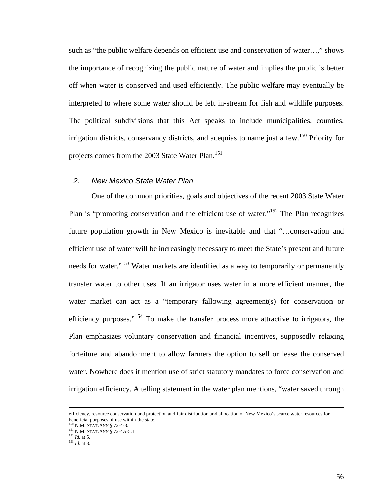such as "the public welfare depends on efficient use and conservation of water…," shows the importance of recognizing the public nature of water and implies the public is better off when water is conserved and used efficiently. The public welfare may eventually be interpreted to where some water should be left in-stream for fish and wildlife purposes. The political subdivisions that this Act speaks to include municipalities, counties, irrigation districts, conservancy districts, and acequias to name just a few. [150 P](#page-62-0)riority for projects comes from the 2003 State Water Plan.<sup>[151](#page-62-1)</sup>

#### *2. New Mexico State Water Plan*

One of the common priorities, goals and objectives of the recent 2003 State Water Plan is "promoting conservation and the efficient use of water."<sup>152</sup> The Plan recognizes future population growth in New Mexico is inevitable and that "…conservation and efficient use of water will be increasingly necessary to meet the State's present and future needs for water."<sup>153</sup> Water markets are identified as a way to temporarily or permanently transfer water to other uses. If an irrigator uses water in a more efficient manner, the water market can act as a "temporary fallowing agreement(s) for conservation or efficiency purposes."<sup>154</sup> To make the transfer process more attractive to irrigators, the Plan emphasizes voluntary conservation and financial incentives, supposedly relaxing forfeiture and abandonment to allow farmers the option to sell or lease the conserved water. Nowhere does it mention use of strict statutory mandates to force conservation and irrigation efficiency. A telling statement in the water plan mentions, "water saved through

efficiency, resource conservation and protection and fair distribution and allocation of New Mexico's scarce water resources for beneficial purposes of use within the state.

<span id="page-62-0"></span><sup>150</sup> N.M. STAT.ANN § 72-4-3.

<span id="page-62-4"></span><span id="page-62-1"></span><sup>151</sup> N.M. STAT.ANN § 72-4A-5.1.

<span id="page-62-2"></span><sup>152</sup> *Id*. at 5.

<span id="page-62-3"></span><sup>153</sup> *Id*. at 8.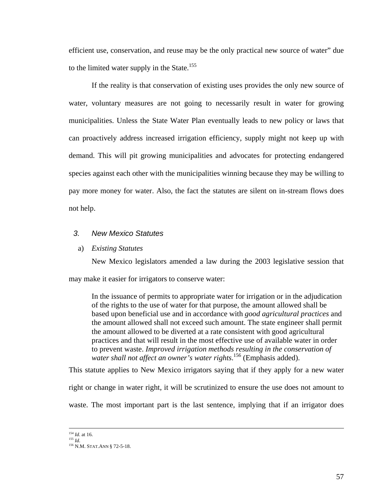efficient use, conservation, and reuse may be the only practical new source of water" due to the limited water supply in the State.<sup>[155](#page-63-0)</sup>

If the reality is that conservation of existing uses provides the only new source of water, voluntary measures are not going to necessarily result in water for growing municipalities. Unless the State Water Plan eventually leads to new policy or laws that can proactively address increased irrigation efficiency, supply might not keep up with demand. This will pit growing municipalities and advocates for protecting endangered species against each other with the municipalities winning because they may be willing to pay more money for water. Also, the fact the statutes are silent on in-stream flows does not help.

#### *3. New Mexico Statutes*

#### a) *Existing Statutes*

New Mexico legislators amended a law during the 2003 legislative session that may make it easier for irrigators to conserve water:

In the issuance of permits to appropriate water for irrigation or in the adjudication of the rights to the use of water for that purpose, the amount allowed shall be based upon beneficial use and in accordance with *good agricultural practices* and the amount allowed shall not exceed such amount. The state engineer shall permit the amount allowed to be diverted at a rate consistent with good agricultural practices and that will result in the most effective use of available water in order to prevent waste. *Improved irrigation methods resulting in the conservation of water shall not affect an owner's water rights*. [156 \(](#page-63-1)Emphasis added).

This statute applies to New Mexico irrigators saying that if they apply for a new water

right or change in water right, it will be scrutinized to ensure the use does not amount to

waste. The most important part is the last sentence, implying that if an irrigator does

<sup>&</sup>lt;sup>154</sup> *Id.* at 16.<br><sup>155</sup> *Id.* 

<span id="page-63-0"></span>

<span id="page-63-1"></span><sup>156</sup> **N.M. STAT.ANN** § 72-5-18.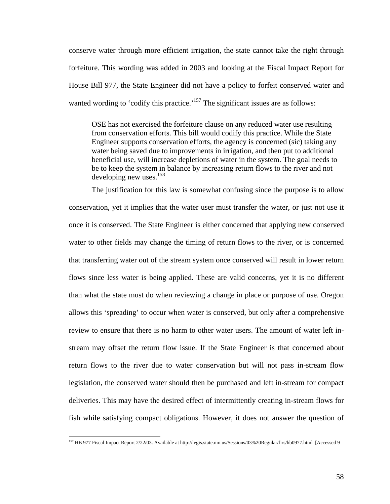<span id="page-64-0"></span>conserve water through more efficient irrigation, the state cannot take the right through forfeiture. This wording was added in 2003 and looking at the Fiscal Impact Report for House Bill 977, the State Engineer did not have a policy to forfeit conserved water and wanted wording to 'codify this practice.'<sup>157</sup> The significant issues are as follows:

OSE has not exercised the forfeiture clause on any reduced water use resulting from conservation efforts. This bill would codify this practice. While the State Engineer supports conservation efforts, the agency is concerned (sic) taking any water being saved due to improvements in irrigation, and then put to additional beneficial use, will increase depletions of water in the system. The goal needs to be to keep the system in balance by increasing return flows to the river and not developing new uses.<sup>[158](#page-64-1)</sup>

The justification for this law is somewhat confusing since the purpose is to allow conservation, yet it implies that the water user must transfer the water, or just not use it once it is conserved. The State Engineer is either concerned that applying new conserved water to other fields may change the timing of return flows to the river, or is concerned that transferring water out of the stream system once conserved will result in lower return flows since less water is being applied. These are valid concerns, yet it is no different than what the state must do when reviewing a change in place or purpose of use. Oregon allows this 'spreading' to occur when water is conserved, but only after a comprehensive review to ensure that there is no harm to other water users. The amount of water left instream may offset the return flow issue. If the State Engineer is that concerned about return flows to the river due to water conservation but will not pass in-stream flow legislation, the conserved water should then be purchased and left in-stream for compact deliveries. This may have the desired effect of intermittently creating in-stream flows for fish while satisfying compact obligations. However, it does not answer the question of

<span id="page-64-1"></span><sup>&</sup>lt;sup>157</sup> HB 977 Fiscal Impact Report 2/22/03. Available at [http://legis.state.nm.us/Sessions/03%20Regular/firs/hb0977.html](http://legis.state.nm.us/Sessions/03 Regular/firs/hb0977.html) [Accessed 9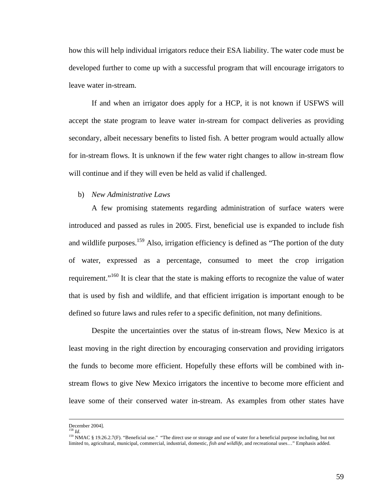how this will help individual irrigators reduce their ESA liability. The water code must be developed further to come up with a successful program that will encourage irrigators to leave water in-stream.

If and when an irrigator does apply for a HCP, it is not known if USFWS will accept the state program to leave water in-stream for compact deliveries as providing secondary, albeit necessary benefits to listed fish. A better program would actually allow for in-stream flows. It is unknown if the few water right changes to allow in-stream flow will continue and if they will even be held as valid if challenged.

#### b) *New Administrative Laws*

A few promising statements regarding administration of surface waters were introduced and passed as rules in 2005. First, beneficial use is expanded to include fish and wildlife purposes.<sup>159</sup> Also, irrigation efficiency is defined as "The portion of the duty of water, expressed as a percentage, consumed to meet the crop irrigation requirement."<sup>160</sup> It is clear that the state is making efforts to recognize the value of water that is used by fish and wildlife, and that efficient irrigation is important enough to be defined so future laws and rules refer to a specific definition, not many definitions.

Despite the uncertainties over the status of in-stream flows, New Mexico is at least moving in the right direction by encouraging conservation and providing irrigators the funds to become more efficient. Hopefully these efforts will be combined with instream flows to give New Mexico irrigators the incentive to become more efficient and leave some of their conserved water in-stream. As examples from other states have

<span id="page-65-1"></span>December 2004].

<span id="page-65-0"></span>

<sup>&</sup>lt;sup>158</sup> *Id.* 2014. 159 MMAC § 19.26.2.7(F). "Beneficial use." "The direct use or storage and use of water for a beneficial purpose including, but not limited to, agricultural, municipal, commercial, industrial, domestic, *fish and wildlife*, and recreational uses…" Emphasis added.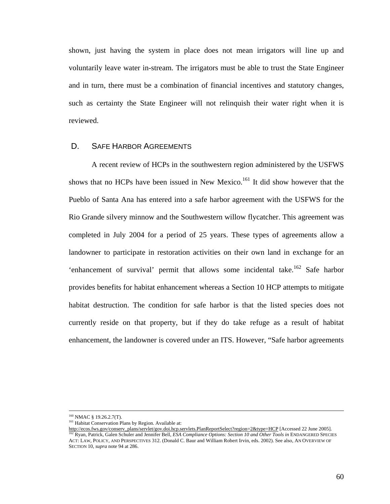shown, just having the system in place does not mean irrigators will line up and voluntarily leave water in-stream. The irrigators must be able to trust the State Engineer and in turn, there must be a combination of financial incentives and statutory changes, such as certainty the State Engineer will not relinquish their water right when it is reviewed.

#### D. SAFE HARBOR AGREEMENTS

A recent review of HCPs in the southwestern region administered by the USFWS shows that no HCPs have been issued in New Mexico.<sup>161</sup> It did show however that the Pueblo of Santa Ana has entered into a safe harbor agreement with the USFWS for the Rio Grande silvery minnow and the Southwestern willow flycatcher. This agreement was completed in July 2004 for a period of 25 years. These types of agreements allow a landowner to participate in restoration activities on their own land in exchange for an 'enhancement of survival' permit that allows some incidental take.<sup>162</sup> Safe harbor provides benefits for habitat enhancement whereas a Section 10 HCP attempts to mitigate habitat destruction. The condition for safe harbor is that the listed species does not currently reside on that property, but if they do take refuge as a result of habitat enhancement, the landowner is covered under an ITS. However, "Safe harbor agreements

<sup>&</sup>lt;sup>160</sup> NMAC § 19.26.2.7(T).

<span id="page-66-0"></span><sup>&</sup>lt;sup>161</sup> Habitat Conservation Plans by Region. Available at:

<span id="page-66-1"></span>[http://ecos.fws.gov/conserv\\_plans/servlet/gov.doi.hcp.servlets.PlanReportSelect?region=2&type=HCP](http://ecos.fws.gov/conserv_plans/servlet/gov.doi.hcp.servlets.PlanReportSelect?region=2&type=HCP) [Accessed 22 June 2005]. <sup>2</sup> Ryan, Patrick, Galen Schuler and Jennifer Bell, *ESA Compliance Options: Section 10 and Other Tools in* ENDANGERED SPECIES ACT: LAW, POLICY, AND PERSPECTIVES 312. (Donald C. Baur and William Robert Irvin, eds. 2002). See also, AN OVERVIEW OF SECTION 10, *supra* note 94 at 286.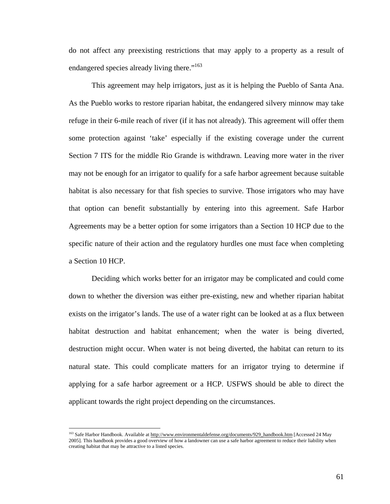do not affect any preexisting restrictions that may apply to a property as a result of endangered species already living there."<sup>163</sup>

This agreement may help irrigators, just as it is helping the Pueblo of Santa Ana. As the Pueblo works to restore riparian habitat, the endangered silvery minnow may take refuge in their 6-mile reach of river (if it has not already). This agreement will offer them some protection against 'take' especially if the existing coverage under the current Section 7 ITS for the middle Rio Grande is withdrawn. Leaving more water in the river may not be enough for an irrigator to qualify for a safe harbor agreement because suitable habitat is also necessary for that fish species to survive. Those irrigators who may have that option can benefit substantially by entering into this agreement. Safe Harbor Agreements may be a better option for some irrigators than a Section 10 HCP due to the specific nature of their action and the regulatory hurdles one must face when completing a Section 10 HCP.

Deciding which works better for an irrigator may be complicated and could come down to whether the diversion was either pre-existing, new and whether riparian habitat exists on the irrigator's lands. The use of a water right can be looked at as a flux between habitat destruction and habitat enhancement; when the water is being diverted, destruction might occur. When water is not being diverted, the habitat can return to its natural state. This could complicate matters for an irrigator trying to determine if applying for a safe harbor agreement or a HCP. USFWS should be able to direct the applicant towards the right project depending on the circumstances.

<span id="page-67-0"></span><sup>&</sup>lt;sup>163</sup> Safe Harbor Handbook. Available at [http://www.environmentaldefense.org/documents/929\\_handbook.htm](http://www.environmentaldefense.org/documents/929_handbook.htmSafe Harbor) [Accessed 24 May 2005]. This handbook provides a good overview of how a landowner can use a safe harbor agreement to reduce their liability when creating habitat that may be attractive to a listed species.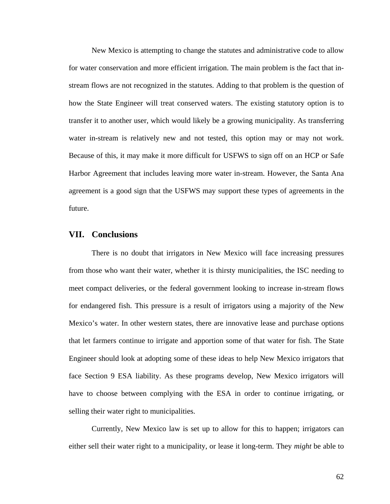New Mexico is attempting to change the statutes and administrative code to allow for water conservation and more efficient irrigation. The main problem is the fact that instream flows are not recognized in the statutes. Adding to that problem is the question of how the State Engineer will treat conserved waters. The existing statutory option is to transfer it to another user, which would likely be a growing municipality. As transferring water in-stream is relatively new and not tested, this option may or may not work. Because of this, it may make it more difficult for USFWS to sign off on an HCP or Safe Harbor Agreement that includes leaving more water in-stream. However, the Santa Ana agreement is a good sign that the USFWS may support these types of agreements in the future.

# **VII. Conclusions**

There is no doubt that irrigators in New Mexico will face increasing pressures from those who want their water, whether it is thirsty municipalities, the ISC needing to meet compact deliveries, or the federal government looking to increase in-stream flows for endangered fish. This pressure is a result of irrigators using a majority of the New Mexico's water. In other western states, there are innovative lease and purchase options that let farmers continue to irrigate and apportion some of that water for fish. The State Engineer should look at adopting some of these ideas to help New Mexico irrigators that face Section 9 ESA liability. As these programs develop, New Mexico irrigators will have to choose between complying with the ESA in order to continue irrigating, or selling their water right to municipalities.

Currently, New Mexico law is set up to allow for this to happen; irrigators can either sell their water right to a municipality, or lease it long-term. They *might* be able to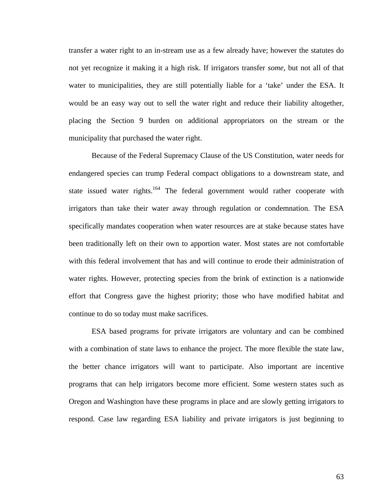transfer a water right to an in-stream use as a few already have; however the statutes do not yet recognize it making it a high risk. If irrigators transfer *some*, but not all of that water to municipalities, they are still potentially liable for a 'take' under the ESA. It would be an easy way out to sell the water right and reduce their liability altogether, placing the Section 9 burden on additional appropriators on the stream or the municipality that purchased the water right.

Because of the Federal Supremacy Clause of the US Constitution, water needs for endangered species can trump Federal compact obligations to a downstream state, and state issued water rights.<sup>164</sup> The federal government would rather cooperate with irrigators than take their water away through regulation or condemnation. The ESA specifically mandates cooperation when water resources are at stake because states have been traditionally left on their own to apportion water. Most states are not comfortable with this federal involvement that has and will continue to erode their administration of water rights. However, protecting species from the brink of extinction is a nationwide effort that Congress gave the highest priority; those who have modified habitat and continue to do so today must make sacrifices.

<span id="page-69-0"></span>ESA based programs for private irrigators are voluntary and can be combined with a combination of state laws to enhance the project. The more flexible the state law, the better chance irrigators will want to participate. Also important are incentive programs that can help irrigators become more efficient. Some western states such as Oregon and Washington have these programs in place and are slowly getting irrigators to respond. Case law regarding ESA liability and private irrigators is just beginning to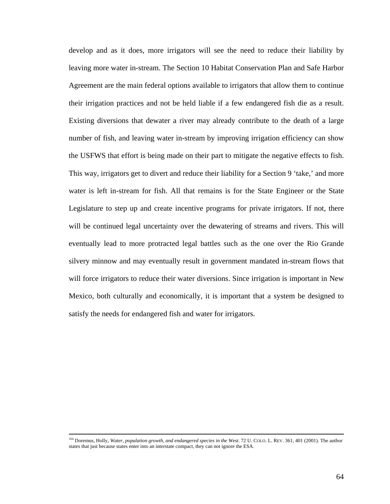develop and as it does, more irrigators will see the need to reduce their liability by leaving more water in-stream. The Section 10 Habitat Conservation Plan and Safe Harbor Agreement are the main federal options available to irrigators that allow them to continue their irrigation practices and not be held liable if a few endangered fish die as a result. Existing diversions that dewater a river may already contribute to the death of a large number of fish, and leaving water in-stream by improving irrigation efficiency can show the USFWS that effort is being made on their part to mitigate the negative effects to fish. This way, irrigators get to divert and reduce their liability for a Section 9 'take,' and more water is left in-stream for fish. All that remains is for the State Engineer or the State Legislature to step up and create incentive programs for private irrigators. If not, there will be continued legal uncertainty over the dewatering of streams and rivers. This will eventually lead to more protracted legal battles such as the one over the Rio Grande silvery minnow and may eventually result in government mandated in-stream flows that will force irrigators to reduce their water diversions. Since irrigation is important in New Mexico, both culturally and economically, it is important that a system be designed to satisfy the needs for endangered fish and water for irrigators.

<sup>&</sup>lt;sup>164</sup> Doremus, Holly, Water, population growth, and endangered species in the West. 72 U. COLO. L. REV. 361, 401 (2001). The author states that just because states enter into an interstate compact, they can not ignore the ESA.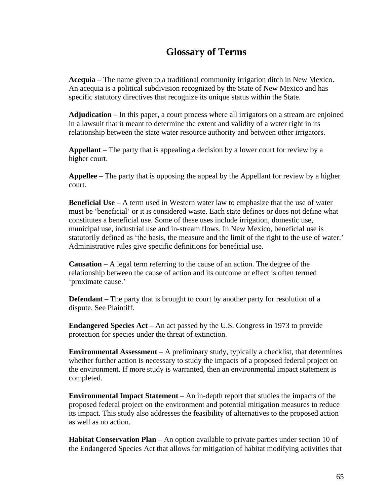# **Glossary of Terms**

**Acequia** – The name given to a traditional community irrigation ditch in New Mexico. An acequia is a political subdivision recognized by the State of New Mexico and has specific statutory directives that recognize its unique status within the State.

**Adjudication** – In this paper, a court process where all irrigators on a stream are enjoined in a lawsuit that it meant to determine the extent and validity of a water right in its relationship between the state water resource authority and between other irrigators.

**Appellant** – The party that is appealing a decision by a lower court for review by a higher court.

**Appellee** – The party that is opposing the appeal by the Appellant for review by a higher court.

**Beneficial Use** – A term used in Western water law to emphasize that the use of water must be 'beneficial' or it is considered waste. Each state defines or does not define what constitutes a beneficial use. Some of these uses include irrigation, domestic use, municipal use, industrial use and in-stream flows. In New Mexico, beneficial use is statutorily defined as 'the basis, the measure and the limit of the right to the use of water.' Administrative rules give specific definitions for beneficial use.

**Causation** – A legal term referring to the cause of an action. The degree of the relationship between the cause of action and its outcome or effect is often termed 'proximate cause.'

**Defendant** – The party that is brought to court by another party for resolution of a dispute. See Plaintiff.

**Endangered Species Act** – An act passed by the U.S. Congress in 1973 to provide protection for species under the threat of extinction.

**Environmental Assessment** – A preliminary study, typically a checklist, that determines whether further action is necessary to study the impacts of a proposed federal project on the environment. If more study is warranted, then an environmental impact statement is completed.

**Environmental Impact Statement** – An in-depth report that studies the impacts of the proposed federal project on the environment and potential mitigation measures to reduce its impact. This study also addresses the feasibility of alternatives to the proposed action as well as no action.

**Habitat Conservation Plan** – An option available to private parties under section 10 of the Endangered Species Act that allows for mitigation of habitat modifying activities that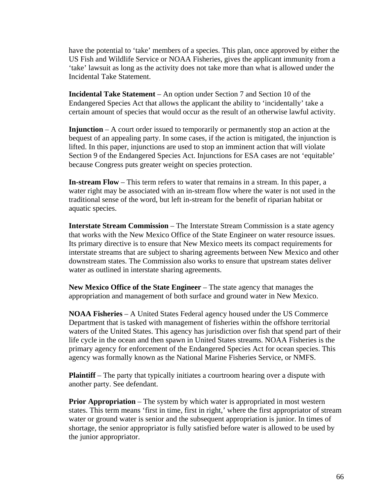have the potential to 'take' members of a species. This plan, once approved by either the US Fish and Wildlife Service or NOAA Fisheries, gives the applicant immunity from a 'take' lawsuit as long as the activity does not take more than what is allowed under the Incidental Take Statement.

**Incidental Take Statement** – An option under Section 7 and Section 10 of the Endangered Species Act that allows the applicant the ability to 'incidentally' take a certain amount of species that would occur as the result of an otherwise lawful activity.

**Injunction** – A court order issued to temporarily or permanently stop an action at the bequest of an appealing party. In some cases, if the action is mitigated, the injunction is lifted. In this paper, injunctions are used to stop an imminent action that will violate Section 9 of the Endangered Species Act. Injunctions for ESA cases are not 'equitable' because Congress puts greater weight on species protection.

**In-stream Flow** – This term refers to water that remains in a stream. In this paper, a water right may be associated with an in-stream flow where the water is not used in the traditional sense of the word, but left in-stream for the benefit of riparian habitat or aquatic species.

**Interstate Stream Commission** – The Interstate Stream Commission is a state agency that works with the New Mexico Office of the State Engineer on water resource issues. Its primary directive is to ensure that New Mexico meets its compact requirements for interstate streams that are subject to sharing agreements between New Mexico and other downstream states. The Commission also works to ensure that upstream states deliver water as outlined in interstate sharing agreements.

**New Mexico Office of the State Engineer** – The state agency that manages the appropriation and management of both surface and ground water in New Mexico.

**NOAA Fisheries** – A United States Federal agency housed under the US Commerce Department that is tasked with management of fisheries within the offshore territorial waters of the United States. This agency has jurisdiction over fish that spend part of their life cycle in the ocean and then spawn in United States streams. NOAA Fisheries is the primary agency for enforcement of the Endangered Species Act for ocean species. This agency was formally known as the National Marine Fisheries Service, or NMFS.

**Plaintiff** – The party that typically initiates a courtroom hearing over a dispute with another party. See defendant.

**Prior Appropriation** – The system by which water is appropriated in most western states. This term means 'first in time, first in right,' where the first appropriator of stream water or ground water is senior and the subsequent appropriation is junior. In times of shortage, the senior appropriator is fully satisfied before water is allowed to be used by the junior appropriator.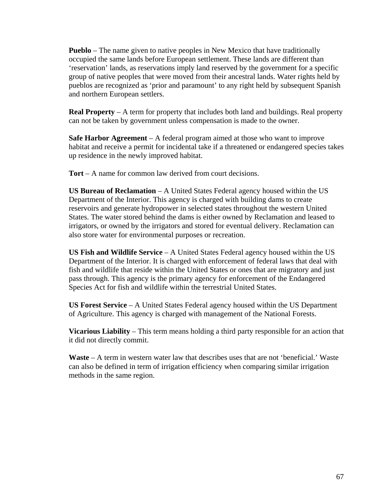**Pueblo** – The name given to native peoples in New Mexico that have traditionally occupied the same lands before European settlement. These lands are different than 'reservation' lands, as reservations imply land reserved by the government for a specific group of native peoples that were moved from their ancestral lands. Water rights held by pueblos are recognized as 'prior and paramount' to any right held by subsequent Spanish and northern European settlers.

**Real Property** – A term for property that includes both land and buildings. Real property can not be taken by government unless compensation is made to the owner.

**Safe Harbor Agreement** – A federal program aimed at those who want to improve habitat and receive a permit for incidental take if a threatened or endangered species takes up residence in the newly improved habitat.

**Tort** – A name for common law derived from court decisions.

**US Bureau of Reclamation** – A United States Federal agency housed within the US Department of the Interior. This agency is charged with building dams to create reservoirs and generate hydropower in selected states throughout the western United States. The water stored behind the dams is either owned by Reclamation and leased to irrigators, or owned by the irrigators and stored for eventual delivery. Reclamation can also store water for environmental purposes or recreation.

**US Fish and Wildlife Service** – A United States Federal agency housed within the US Department of the Interior. It is charged with enforcement of federal laws that deal with fish and wildlife that reside within the United States or ones that are migratory and just pass through. This agency is the primary agency for enforcement of the Endangered Species Act for fish and wildlife within the terrestrial United States.

**US Forest Service** – A United States Federal agency housed within the US Department of Agriculture. This agency is charged with management of the National Forests.

**Vicarious Liability** – This term means holding a third party responsible for an action that it did not directly commit.

**Waste** – A term in western water law that describes uses that are not 'beneficial.' Waste can also be defined in term of irrigation efficiency when comparing similar irrigation methods in the same region.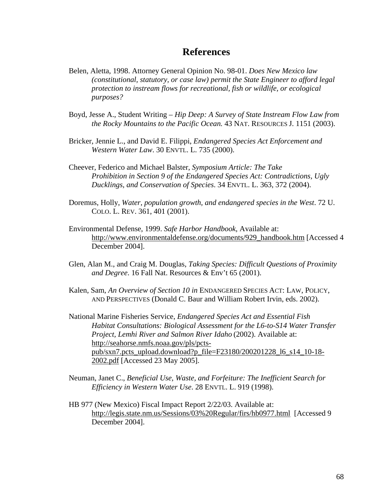# **References**

- Belen, Aletta, 1998. Attorney General Opinion No. 98-01. *Does New Mexico law (constitutional, statutory, or case law) permit the State Engineer to afford legal protection to instream flows for recreational, fish or wildlife, or ecological purposes?*
- Boyd, Jesse A., Student Writing *Hip Deep: A Survey of State Instream Flow Law from the Rocky Mountains to the Pacific Ocean.* 43 NAT. RESOURCES J. 1151 (2003).
- Bricker, Jennie L., and David E. Filippi, *Endangered Species Act Enforcement and Western Water Law*. 30 ENVTL. L. 735 (2000).
- Cheever, Federico and Michael Balster, *Symposium Article: The Take Prohibition in Section 9 of the Endangered Species Act: Contradictions, Ugly Ducklings, and Conservation of Species*. 34 ENVTL. L. 363, 372 (2004).
- Doremus, Holly, *Water, population growth, and endangered species in the West*. 72 U. COLO. L. REV. 361, 401 (2001).
- Environmental Defense, 1999. *Safe Harbor Handbook*, Available at: [http://www.environmentaldefense.org/documents/929\\_handbook.htm](http://www.environmentaldefense.org/documents/929_handbook.htm) [Accessed 4 December 2004].
- Glen, Alan M., and Craig M. Douglas, *Taking Species: Difficult Questions of Proximity and Degree*. 16 Fall Nat. Resources & Env't 65 (2001).
- Kalen, Sam, *An Overview of Section 10 in* ENDANGERED SPECIES ACT: LAW, POLICY, AND PERSPECTIVES (Donald C. Baur and William Robert Irvin, eds. 2002).
- National Marine Fisheries Service, *Endangered Species Act and Essential Fish Habitat Consultations: Biological Assessment for the L6-to-S14 Water Transfer Project, Lemhi River and Salmon River Idaho* (2002). Available at: [http://seahorse.nmfs.noaa.gov/pls/pcts](http://seahorse.nmfs.noaa.gov/pls/pcts-pub/sxn7.pcts_upload.download?p_file=F23180/200201228_l6_s14_10-18-2002.pdf)[pub/sxn7.pcts\\_upload.download?p\\_file=F23180/200201228\\_l6\\_s14\\_10-18-](http://seahorse.nmfs.noaa.gov/pls/pcts-pub/sxn7.pcts_upload.download?p_file=F23180/200201228_l6_s14_10-18-2002.pdf) [2002.pdf](http://seahorse.nmfs.noaa.gov/pls/pcts-pub/sxn7.pcts_upload.download?p_file=F23180/200201228_l6_s14_10-18-2002.pdf) [Accessed 23 May 2005].
- Neuman, Janet C., *Beneficial Use, Waste, and Forfeiture: The Inefficient Search for Efficiency in Western Water Use*. 28 ENVTL. L. 919 (1998).
- HB 977 (New Mexico) Fiscal Impact Report 2/22/03. Available at: [http://legis.state.nm.us/Sessions/03%20Regular/firs/hb0977.html](http://legis.state.nm.us/Sessions/03 Regular/firs/hb0977.html) [Accessed 9 December 2004].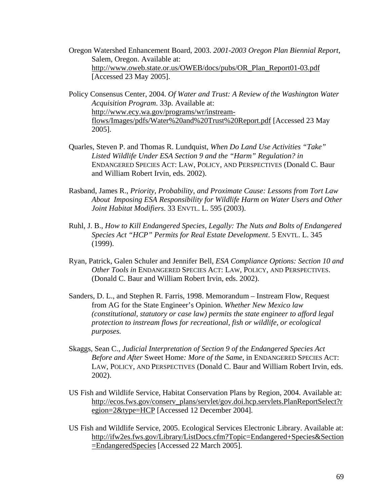- Oregon Watershed Enhancement Board, 2003. *2001-2003 Oregon Plan Biennial Report*, Salem, Oregon. Available at: [http://www.oweb.state.or.us/OWEB/docs/pubs/OR\\_Plan\\_Report01-03.pdf](http://www.oweb.state.or.us/OWEB/docs/pubs/OR_Plan_Report01-03.pdf) [Accessed 23 May 2005].
- Policy Consensus Center, 2004. *Of Water and Trust: A Review of the Washington Water Acquisition Program*. 33p. Available at: [http://www.ecy.wa.gov/programs/wr/instream](http://www.ecy.wa.gov/programs/wr/instream-flows/Images/pdfs/Water and Trust Report.pdf)[flows/Images/pdfs/Water%20and%20Trust%20Report.pdf](http://www.ecy.wa.gov/programs/wr/instream-flows/Images/pdfs/Water and Trust Report.pdf) [Accessed 23 May 2005].
- Quarles, Steven P. and Thomas R. Lundquist, *When Do Land Use Activities "Take" Listed Wildlife Under ESA Section 9 and the "Harm" Regulation? in* ENDANGERED SPECIES ACT: LAW, POLICY, AND PERSPECTIVES (Donald C. Baur and William Robert Irvin, eds. 2002).
- Rasband, James R., *Priority, Probability, and Proximate Cause: Lessons from Tort Law About Imposing ESA Responsibility for Wildlife Harm on Water Users and Other Joint Habitat Modifiers*. 33 ENVTL. L. 595 (2003).
- Ruhl, J. B., *How to Kill Endangered Species, Legally: The Nuts and Bolts of Endangered Species Act "HCP" Permits for Real Estate Development*. 5 ENVTL. L. 345 (1999).
- Ryan, Patrick, Galen Schuler and Jennifer Bell, *ESA Compliance Options: Section 10 and Other Tools in* ENDANGERED SPECIES ACT: LAW, POLICY, AND PERSPECTIVES. (Donald C. Baur and William Robert Irvin, eds. 2002).
- Sanders, D. L., and Stephen R. Farris, 1998. Memorandum Instream Flow, Request from AG for the State Engineer's Opinion. *Whether New Mexico law (constitutional, statutory or case law) permits the state engineer to afford legal protection to instream flows for recreational, fish or wildlife, or ecological purposes.*
- Skaggs, Sean C., *Judicial Interpretation of Section 9 of the Endangered Species Act Before and After* Sweet Home*: More of the Same*, in ENDANGERED SPECIES ACT: LAW, POLICY, AND PERSPECTIVES (Donald C. Baur and William Robert Irvin, eds. 2002).
- US Fish and Wildlife Service, Habitat Conservation Plans by Region, 2004. Available at: [http://ecos.fws.gov/conserv\\_plans/servlet/gov.doi.hcp.servlets.PlanReportSelect?r](http://ecos.fws.gov/conserv_plans/servlet/gov.doi.hcp.servlets.PlanReportSelect?region=2&type=HCP) [egion=2&type=HCP](http://ecos.fws.gov/conserv_plans/servlet/gov.doi.hcp.servlets.PlanReportSelect?region=2&type=HCP) [Accessed 12 December 2004].
- US Fish and Wildlife Service, 2005. Ecological Services Electronic Library. Available at: [http://ifw2es.fws.gov/Library/ListDocs.cfm?Topic=Endangered+Species&Section](http://ifw2es.fws.gov/Library/ListDocs.cfm?Topic=Endangered+Species&Section=EndangeredSpecies) [=EndangeredSpecies](http://ifw2es.fws.gov/Library/ListDocs.cfm?Topic=Endangered+Species&Section=EndangeredSpecies) [Accessed 22 March 2005].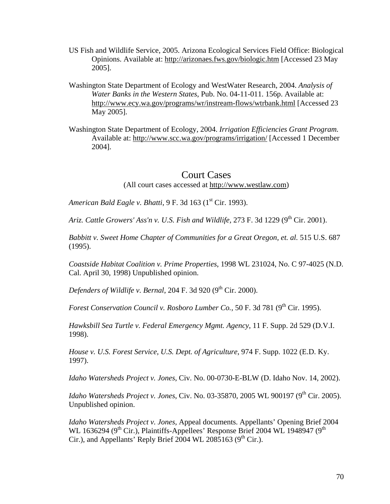- US Fish and Wildlife Service, 2005. Arizona Ecological Services Field Office: Biological Opinions. Available at: <http://arizonaes.fws.gov/biologic.htm> [Accessed 23 May 2005].
- Washington State Department of Ecology and WestWater Research, 2004. *Analysis of Water Banks in the Western States*, Pub. No. 04-11-011. 156p. Available at: <http://www.ecy.wa.gov/programs/wr/instream-flows/wtrbank.html>[Accessed 23 May 2005].
- Washington State Department of Ecology, 2004. *Irrigation Efficiencies Grant Program.* Available at: <http://www.scc.wa.gov/programs/irrigation/>[Accessed 1 December 2004].

### Court Cases

(All court cases accessed at [http://www.westlaw.com\)](http://www.westlaw.com/)

*American Bald Eagle v. Bhatti*, 9 F. 3d 163 (1<sup>st</sup> Cir. 1993).

*Ariz. Cattle Growers' Ass'n v. U.S. Fish and Wildlife, 273 F. 3d 1229 (9<sup>th</sup> Cir. 2001).* 

*Babbitt v. Sweet Home Chapter of Communities for a Great Oregon, et. al.* 515 U.S. 687 (1995).

*Coastside Habitat Coalition v. Prime Properties*, 1998 WL 231024, No. C 97-4025 (N.D. Cal. April 30, 1998) Unpublished opinion.

*Defenders of Wildlife v. Bernal*, 204 F. 3d 920 (9<sup>th</sup> Cir. 2000).

*Forest Conservation Council v. Rosboro Lumber Co.,* 50 F. 3d 781 (9<sup>th</sup> Cir. 1995).

*Hawksbill Sea Turtle v. Federal Emergency Mgmt. Agency*, 11 F. Supp. 2d 529 (D.V.I. 1998).

*House v. U.S. Forest Service, U.S. Dept. of Agriculture*, 974 F. Supp. 1022 (E.D. Ky. 1997).

*Idaho Watersheds Project v. Jones*, Civ. No. 00-0730-E-BLW (D. Idaho Nov. 14, 2002).

*Idaho Watersheds Project v. Jones, Civ. No.* 03-35870, 2005 WL 900197 (9<sup>th</sup> Cir. 2005). Unpublished opinion.

*Idaho Watersheds Project v. Jones,* Appeal documents. Appellants' Opening Brief 2004 WL 1636294 ( $9<sup>th</sup>$  Cir.), Plaintiffs-Appellees' Response Brief 2004 WL 1948947 ( $9<sup>th</sup>$ Cir.), and Appellants' Reply Brief 2004 WL 2085163 ( $9<sup>th</sup>$  Cir.).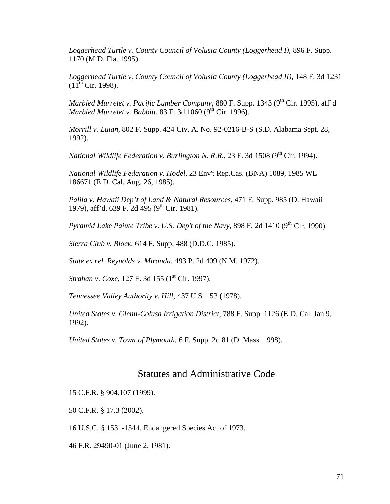*Loggerhead Turtle v. County Council of Volusia County (Loggerhead I)*, 896 F. Supp. 1170 (M.D. Fla. 1995).

*Loggerhead Turtle v. County Council of Volusia County (Loggerhead II)*, 148 F. 3d 1231  $(11^{th}$  Cir. 1998).

*Marbled Murrelet v. Pacific Lumber Company*, 880 F. Supp. 1343 (9<sup>th</sup> Cir. 1995), aff'd *Marbled Murrelet v. Babbitt,* 83 F. 3d 1060 (9<sup>th</sup> Cir. 1996).

*Morrill v. Lujan*, 802 F. Supp. 424 Civ. A. No. 92-0216-B-S (S.D. Alabama Sept. 28, 1992).

*National Wildlife Federation v. Burlington N. R.R., 23 F. 3d 1508 (9<sup>th</sup> Cir. 1994).* 

*National Wildlife Federation v. Hodel,* 23 Env't Rep.Cas. (BNA) 1089, 1985 WL 186671 (E.D. Cal. Aug. 26, 1985).

*Palila v. Hawaii Dep't of Land & Natural Resources*, 471 F. Supp. 985 (D. Hawaii 1979), aff'd, 639 F. 2d 495 (9<sup>th</sup> Cir. 1981).

*Pyramid Lake Paiute Tribe v. U.S. Dep't of the Navy, 898 F. 2d 1410 (9<sup>th</sup> Cir. 1990).* 

*Sierra Club v. Block*, 614 F. Supp. 488 (D.D.C. 1985).

*State ex rel. Reynolds v. Miranda*, 493 P. 2d 409 (N.M. 1972).

*Strahan v. Coxe*, 127 F. 3d 155 (1<sup>st</sup> Cir. 1997).

*Tennessee Valley Authority v. Hill*, 437 U.S. 153 (1978).

*United States v. Glenn-Colusa Irrigation District*, 788 F. Supp. 1126 (E.D. Cal. Jan 9, 1992).

*United States v. Town of Plymouth*, 6 F. Supp. 2d 81 (D. Mass. 1998).

#### Statutes and Administrative Code

15 C.F.R. § 904.107 (1999).

50 C.F.R. § 17.3 (2002).

16 U.S.C. § 1531-1544. Endangered Species Act of 1973.

46 F.R. 29490-01 (June 2, 1981).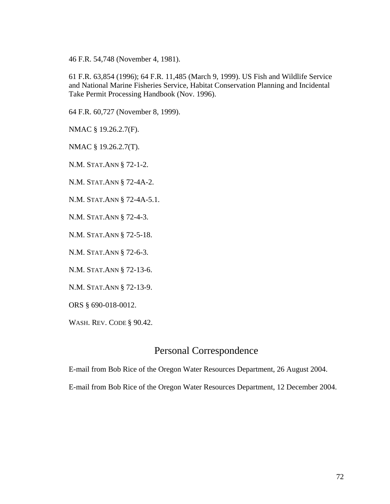46 F.R. 54,748 (November 4, 1981).

61 F.R. 63,854 (1996); 64 F.R. 11,485 (March 9, 1999). US Fish and Wildlife Service and National Marine Fisheries Service, Habitat Conservation Planning and Incidental Take Permit Processing Handbook (Nov. 1996).

64 F.R. 60,727 (November 8, 1999).

NMAC § 19.26.2.7(F).

NMAC § 19.26.2.7(T).

N.M. STAT.ANN § 72-1-2.

N.M. STAT.ANN § 72-4A-2.

N.M. STAT.ANN § 72-4A-5.1.

N.M. STAT.ANN § 72-4-3.

N.M. STAT.ANN § 72-5-18.

N.M. STAT.ANN § 72-6-3.

N.M. STAT.ANN § 72-13-6.

N.M. STAT.ANN § 72-13-9.

ORS § 690-018-0012.

WASH. REV. CODE § 90.42.

## Personal Correspondence

E-mail from Bob Rice of the Oregon Water Resources Department, 26 August 2004.

E-mail from Bob Rice of the Oregon Water Resources Department, 12 December 2004.